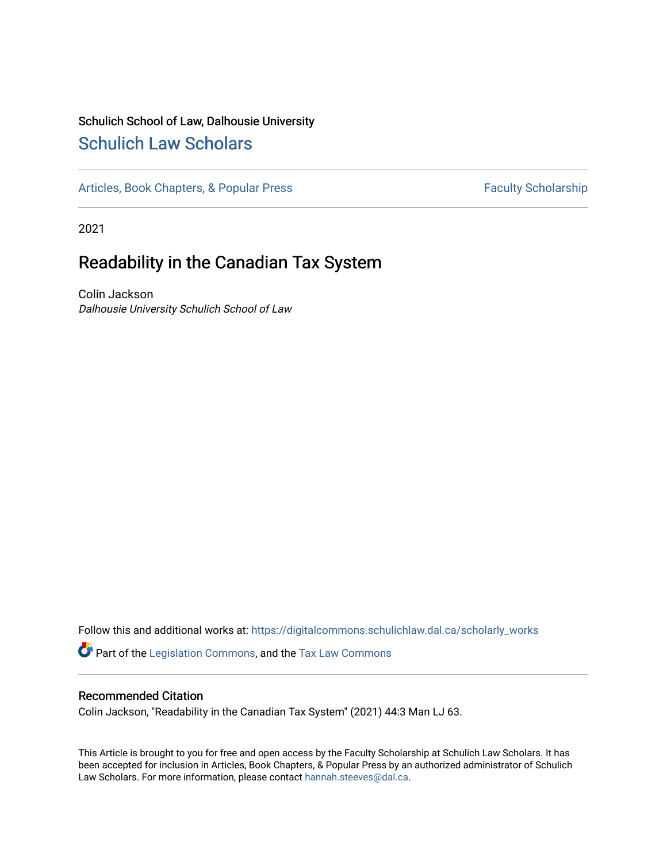# Schulich School of Law, Dalhousie University [Schulich Law Scholars](https://digitalcommons.schulichlaw.dal.ca/)

[Articles, Book Chapters, & Popular Press](https://digitalcommons.schulichlaw.dal.ca/scholarly_works) Faculty Scholarship

2021

# Readability in the Canadian Tax System

Colin Jackson Dalhousie University Schulich School of Law

Follow this and additional works at: [https://digitalcommons.schulichlaw.dal.ca/scholarly\\_works](https://digitalcommons.schulichlaw.dal.ca/scholarly_works?utm_source=digitalcommons.schulichlaw.dal.ca%2Fscholarly_works%2F745&utm_medium=PDF&utm_campaign=PDFCoverPages)  Part of the [Legislation Commons](http://network.bepress.com/hgg/discipline/859?utm_source=digitalcommons.schulichlaw.dal.ca%2Fscholarly_works%2F745&utm_medium=PDF&utm_campaign=PDFCoverPages), and the [Tax Law Commons](http://network.bepress.com/hgg/discipline/898?utm_source=digitalcommons.schulichlaw.dal.ca%2Fscholarly_works%2F745&utm_medium=PDF&utm_campaign=PDFCoverPages) 

### Recommended Citation

Colin Jackson, "Readability in the Canadian Tax System" (2021) 44:3 Man LJ 63.

This Article is brought to you for free and open access by the Faculty Scholarship at Schulich Law Scholars. It has been accepted for inclusion in Articles, Book Chapters, & Popular Press by an authorized administrator of Schulich Law Scholars. For more information, please contact [hannah.steeves@dal.ca.](mailto:hannah.steeves@dal.ca)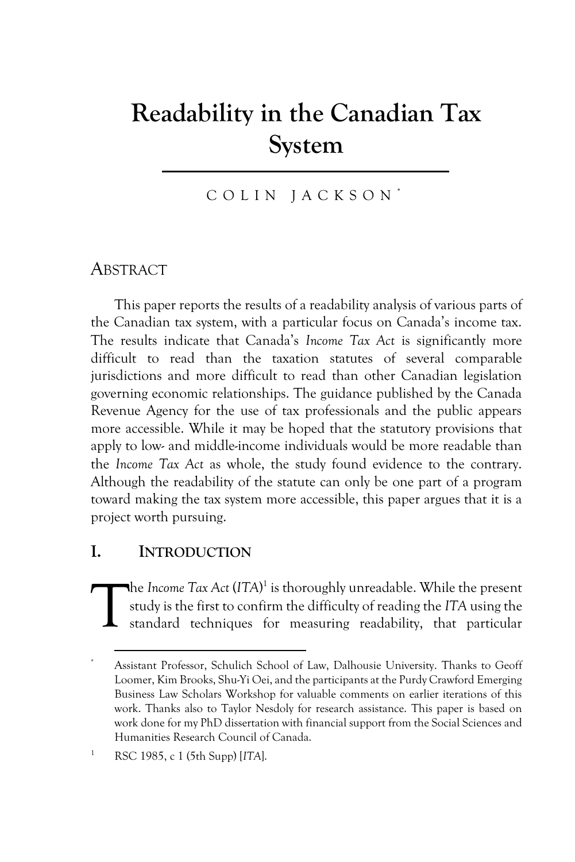# **Readability in the Canadian Tax System**

### COLIN JACKSON<sup>\*</sup>

### ABSTRACT

This paper reports the results of a readability analysis of various parts of the Canadian tax system, with a particular focus on Canada's income tax. The results indicate that Canada's *Income Tax Act* is significantly more difficult to read than the taxation statutes of several comparable jurisdictions and more difficult to read than other Canadian legislation governing economic relationships. The guidance published by the Canada Revenue Agency for the use of tax professionals and the public appears more accessible. While it may be hoped that the statutory provisions that apply to low- and middle-income individuals would be more readable than the *Income Tax Act* as whole, the study found evidence to the contrary. Although the readability of the statute can only be one part of a program toward making the tax system more accessible, this paper argues that it is a project worth pursuing.

### **I. INTRODUCTION**

he *Income Tax Act* (*ITA*) 1 is thoroughly unreadable. While the present study is the first to confirm the difficulty of reading the *ITA* using the standard techniques for measuring readability, that particular T

Assistant Professor, Schulich School of Law, Dalhousie University. Thanks to Geoff Loomer, Kim Brooks, Shu-Yi Oei, and the participants at the Purdy Crawford Emerging Business Law Scholars Workshop for valuable comments on earlier iterations of this work. Thanks also to Taylor Nesdoly for research assistance. This paper is based on work done for my PhD dissertation with financial support from the Social Sciences and Humanities Research Council of Canada.

<sup>1</sup> RSC 1985, c 1 (5th Supp) [*ITA*].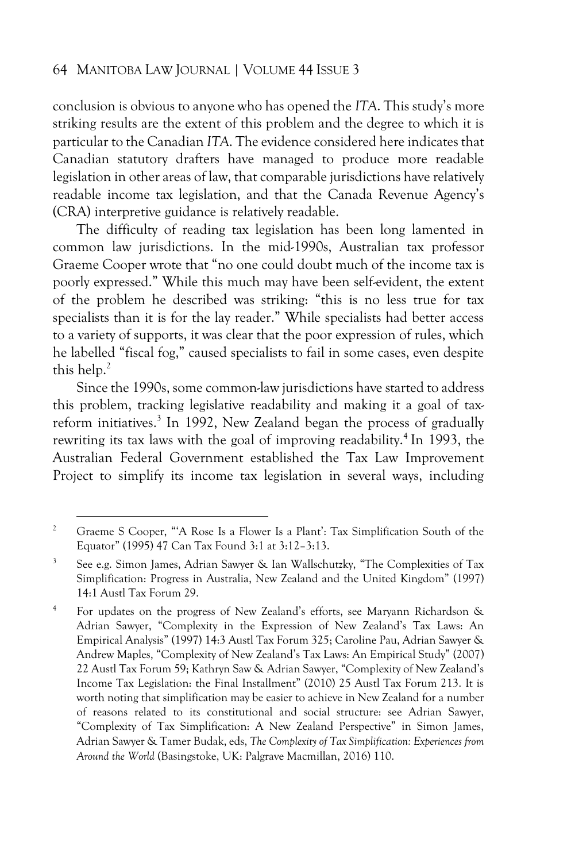conclusion is obvious to anyone who has opened the *ITA*. This study's more striking results are the extent of this problem and the degree to which it is particular to the Canadian *ITA*. The evidence considered here indicates that Canadian statutory drafters have managed to produce more readable legislation in other areas of law, that comparable jurisdictions have relatively readable income tax legislation, and that the Canada Revenue Agency's (CRA) interpretive guidance is relatively readable.

The difficulty of reading tax legislation has been long lamented in common law jurisdictions. In the mid-1990s, Australian tax professor Graeme Cooper wrote that "no one could doubt much of the income tax is poorly expressed." While this much may have been self-evident, the extent of the problem he described was striking: "this is no less true for tax specialists than it is for the lay reader." While specialists had better access to a variety of supports, it was clear that the poor expression of rules, which he labelled "fiscal fog," caused specialists to fail in some cases, even despite this help.<sup>2</sup>

Since the 1990s, some common-law jurisdictions have started to address this problem, tracking legislative readability and making it a goal of taxreform initiatives.<sup>3</sup> In 1992, New Zealand began the process of gradually rewriting its tax laws with the goal of improving readability.<sup>4</sup> In 1993, the Australian Federal Government established the Tax Law Improvement Project to simplify its income tax legislation in several ways, including

<sup>&</sup>lt;sup>2</sup> Graeme S Cooper, "'A Rose Is a Flower Is a Plant': Tax Simplification South of the Equator" (1995) 47 Can Tax Found 3:1 at 3:12–3:13.

<sup>3</sup> See e.g. Simon James, Adrian Sawyer & Ian Wallschutzky, "The Complexities of Tax Simplification: Progress in Australia, New Zealand and the United Kingdom" (1997) 14:1 Austl Tax Forum 29.

<sup>4</sup> For updates on the progress of New Zealand's efforts, see Maryann Richardson & Adrian Sawyer, "Complexity in the Expression of New Zealand's Tax Laws: An Empirical Analysis" (1997) 14:3 Austl Tax Forum 325; Caroline Pau, Adrian Sawyer & Andrew Maples, "Complexity of New Zealand's Tax Laws: An Empirical Study" (2007) 22 Austl Tax Forum 59; Kathryn Saw & Adrian Sawyer, "Complexity of New Zealand's Income Tax Legislation: the Final Installment" (2010) 25 Austl Tax Forum 213. It is worth noting that simplification may be easier to achieve in New Zealand for a number of reasons related to its constitutional and social structure: see Adrian Sawyer, "Complexity of Tax Simplification: A New Zealand Perspective" in Simon James, Adrian Sawyer & Tamer Budak, eds, *The Complexity of Tax Simplification: Experiences from Around the World* (Basingstoke, UK: Palgrave Macmillan, 2016) 110.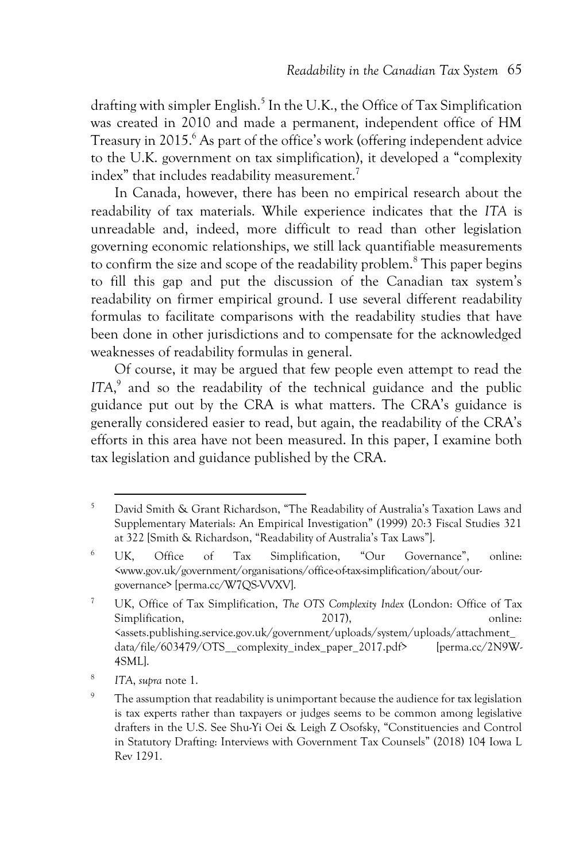drafting with simpler English.<sup>5</sup> In the U.K., the Office of Tax Simplification was created in 2010 and made a permanent, independent office of HM Treasury in 2015.<sup>6</sup> As part of the office's work (offering independent advice to the U.K. government on tax simplification), it developed a "complexity index" that includes readability measurement. $^7$ 

In Canada, however, there has been no empirical research about the readability of tax materials. While experience indicates that the *ITA* is unreadable and, indeed, more difficult to read than other legislation governing economic relationships, we still lack quantifiable measurements to confirm the size and scope of the readability problem.<sup>8</sup> This paper begins to fill this gap and put the discussion of the Canadian tax system's readability on firmer empirical ground. I use several different readability formulas to facilitate comparisons with the readability studies that have been done in other jurisdictions and to compensate for the acknowledged weaknesses of readability formulas in general.

Of course, it may be argued that few people even attempt to read the ITA,<sup>9</sup> and so the readability of the technical guidance and the public guidance put out by the CRA is what matters. The CRA's guidance is generally considered easier to read, but again, the readability of the CRA's efforts in this area have not been measured. In this paper, I examine both tax legislation and guidance published by the CRA.

8 *ITA*, *supra* note 1.

<sup>5</sup> David Smith & Grant Richardson, "The Readability of Australia's Taxation Laws and Supplementary Materials: An Empirical Investigation" (1999) 20:3 Fiscal Studies 321 at 322 [Smith & Richardson, "Readability of Australia's Tax Laws"].

<sup>6</sup> UK, Office of Tax Simplification, "Our Governance", online: <www.gov.uk/government/organisations/office-of-tax-simplification/about/ourgovernance> [perma.cc/W7QS-VVXV].

<sup>7</sup> UK, Office of Tax Simplification, *The OTS Complexity Index* (London: Office of Tax Simplification, 2017), and 2017 online: <assets.publishing.service.gov.uk/government/uploads/system/uploads/attachment\_ data/file/603479/OTS\_\_complexity\_index\_paper\_2017.pdf> [perma.cc/2N9W-4SML].

<sup>&</sup>lt;sup>9</sup> The assumption that readability is unimportant because the audience for tax legislation is tax experts rather than taxpayers or judges seems to be common among legislative drafters in the U.S. See Shu-Yi Oei & Leigh Z Osofsky, "Constituencies and Control in Statutory Drafting: Interviews with Government Tax Counsels" (2018) 104 Iowa L Rev 1291.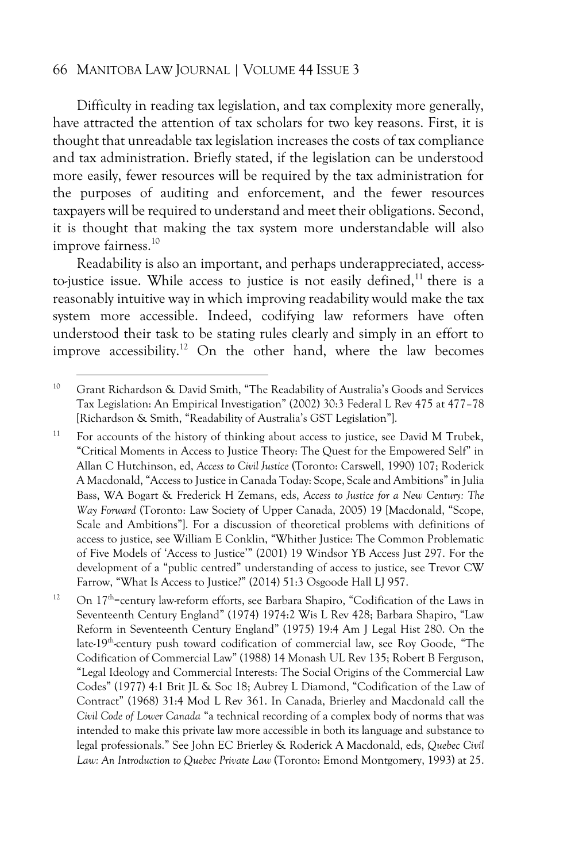Difficulty in reading tax legislation, and tax complexity more generally, have attracted the attention of tax scholars for two key reasons. First, it is thought that unreadable tax legislation increases the costs of tax compliance and tax administration. Briefly stated, if the legislation can be understood more easily, fewer resources will be required by the tax administration for the purposes of auditing and enforcement, and the fewer resources taxpayers will be required to understand and meet their obligations. Second, it is thought that making the tax system more understandable will also improve fairness.<sup>10</sup>

Readability is also an important, and perhaps underappreciated, accessto-justice issue. While access to justice is not easily defined,  $11$  there is a reasonably intuitive way in which improving readability would make the tax system more accessible. Indeed, codifying law reformers have often understood their task to be stating rules clearly and simply in an effort to improve accessibility.<sup>12</sup> On the other hand, where the law becomes

<sup>10</sup> Grant Richardson & David Smith, "The Readability of Australia's Goods and Services Tax Legislation: An Empirical Investigation" (2002) 30:3 Federal L Rev 475 at 477–78 [Richardson & Smith, "Readability of Australia's GST Legislation"].

<sup>&</sup>lt;sup>11</sup> For accounts of the history of thinking about access to justice, see David M Trubek, "Critical Moments in Access to Justice Theory: The Quest for the Empowered Self" in Allan C Hutchinson, ed, *Access to Civil Justice* (Toronto: Carswell, 1990) 107; Roderick A Macdonald, "Access to Justice in Canada Today: Scope, Scale and Ambitions" in Julia Bass, WA Bogart & Frederick H Zemans, eds, *Access to Justice for a New Century: The Way Forward* (Toronto: Law Society of Upper Canada, 2005) 19 [Macdonald, "Scope, Scale and Ambitions"]. For a discussion of theoretical problems with definitions of access to justice, see William E Conklin, "Whither Justice: The Common Problematic of Five Models of 'Access to Justice'" (2001) 19 Windsor YB Access Just 297. For the development of a "public centred" understanding of access to justice, see Trevor CW Farrow, "What Is Access to Justice?" (2014) 51:3 Osgoode Hall LJ 957.

 $12$  On 17<sup>th</sup>=century law-reform efforts, see Barbara Shapiro, "Codification of the Laws in Seventeenth Century England" (1974) 1974:2 Wis L Rev 428; Barbara Shapiro, "Law Reform in Seventeenth Century England" (1975) 19:4 Am J Legal Hist 280. On the late-19<sup>th</sup>-century push toward codification of commercial law, see Roy Goode, "The Codification of Commercial Law" (1988) 14 Monash UL Rev 135; Robert B Ferguson, "Legal Ideology and Commercial Interests: The Social Origins of the Commercial Law Codes" (1977) 4:1 Brit JL & Soc 18; Aubrey L Diamond, "Codification of the Law of Contract" (1968) 31:4 Mod L Rev 361. In Canada, Brierley and Macdonald call the *Civil Code of Lower Canada* "a technical recording of a complex body of norms that was intended to make this private law more accessible in both its language and substance to legal professionals." See John EC Brierley & Roderick A Macdonald, eds, *Quebec Civil Law: An Introduction to Quebec Private Law* (Toronto: Emond Montgomery, 1993) at 25.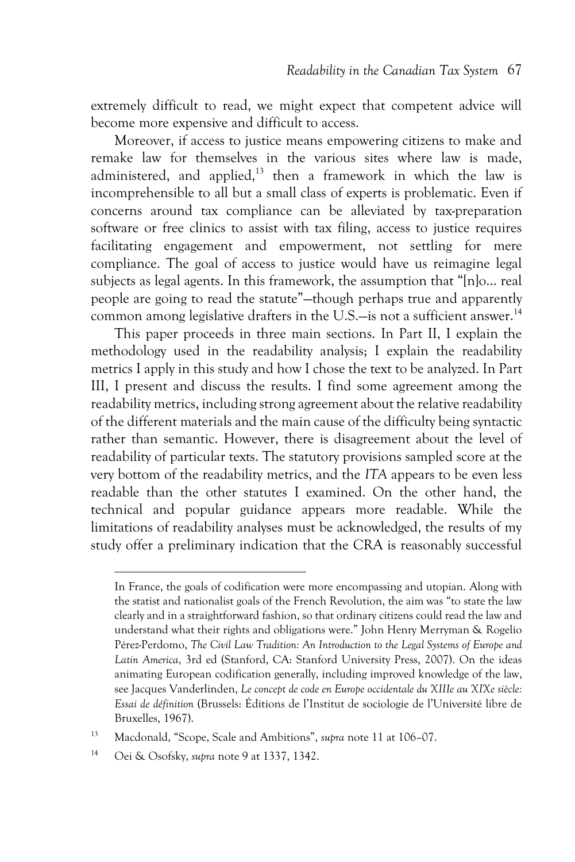extremely difficult to read, we might expect that competent advice will become more expensive and difficult to access.

Moreover, if access to justice means empowering citizens to make and remake law for themselves in the various sites where law is made, administered, and applied,<sup>13</sup> then a framework in which the law is incomprehensible to all but a small class of experts is problematic. Even if concerns around tax compliance can be alleviated by tax-preparation software or free clinics to assist with tax filing, access to justice requires facilitating engagement and empowerment, not settling for mere compliance. The goal of access to justice would have us reimagine legal subjects as legal agents. In this framework, the assumption that "[n]o… real people are going to read the statute"—though perhaps true and apparently common among legislative drafters in the U.S.—is not a sufficient answer.<sup>14</sup>

This paper proceeds in three main sections. In Part II, I explain the methodology used in the readability analysis; I explain the readability metrics I apply in this study and how I chose the text to be analyzed. In Part III, I present and discuss the results. I find some agreement among the readability metrics, including strong agreement about the relative readability of the different materials and the main cause of the difficulty being syntactic rather than semantic. However, there is disagreement about the level of readability of particular texts. The statutory provisions sampled score at the very bottom of the readability metrics, and the *ITA* appears to be even less readable than the other statutes I examined. On the other hand, the technical and popular guidance appears more readable. While the limitations of readability analyses must be acknowledged, the results of my study offer a preliminary indication that the CRA is reasonably successful

<sup>13</sup> Macdonald, "Scope, Scale and Ambitions", *supra* note 11 at 106–07.

In France, the goals of codification were more encompassing and utopian. Along with the statist and nationalist goals of the French Revolution, the aim was "to state the law clearly and in a straightforward fashion, so that ordinary citizens could read the law and understand what their rights and obligations were." John Henry Merryman & Rogelio Pérez-Perdomo, *The Civil Law Tradition: An Introduction to the Legal Systems of Europe and Latin America*, 3rd ed (Stanford, CA: Stanford University Press, 2007). On the ideas animating European codification generally, including improved knowledge of the law, see Jacques Vanderlinden, *Le concept de code en Europe occidentale du XIIIe au XIXe siècle: Essai de définition* (Brussels: Éditions de l'Institut de sociologie de l'Université libre de Bruxelles, 1967).

<sup>14</sup> Oei & Osofsky, *supra* note 9 at 1337, 1342.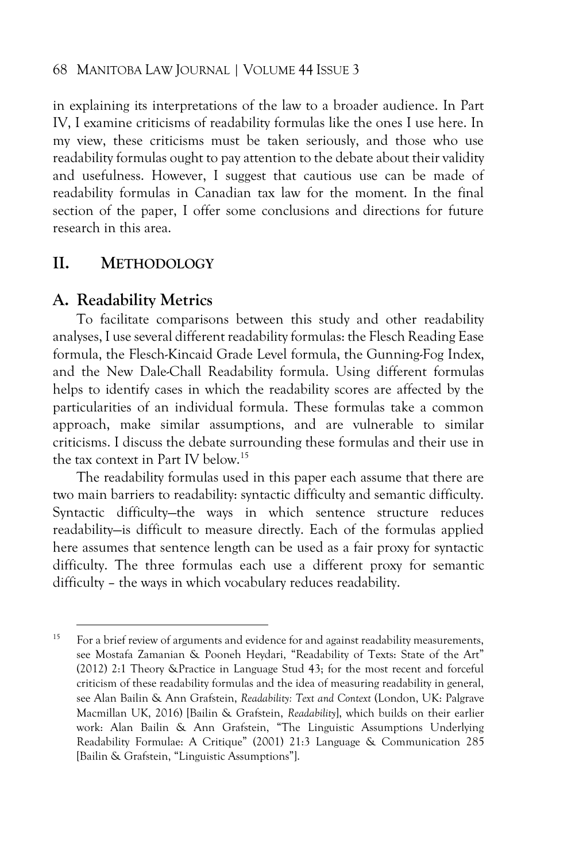in explaining its interpretations of the law to a broader audience. In Part IV, I examine criticisms of readability formulas like the ones I use here. In my view, these criticisms must be taken seriously, and those who use readability formulas ought to pay attention to the debate about their validity and usefulness. However, I suggest that cautious use can be made of readability formulas in Canadian tax law for the moment. In the final section of the paper, I offer some conclusions and directions for future research in this area.

### **II. METHODOLOGY**

### **A. Readability Metrics**

To facilitate comparisons between this study and other readability analyses, I use several different readability formulas: the Flesch Reading Ease formula, the Flesch-Kincaid Grade Level formula, the Gunning-Fog Index, and the New Dale-Chall Readability formula. Using different formulas helps to identify cases in which the readability scores are affected by the particularities of an individual formula. These formulas take a common approach, make similar assumptions, and are vulnerable to similar criticisms. I discuss the debate surrounding these formulas and their use in the tax context in Part IV below.<sup>15</sup>

The readability formulas used in this paper each assume that there are two main barriers to readability: syntactic difficulty and semantic difficulty. Syntactic difficulty—the ways in which sentence structure reduces readability—is difficult to measure directly. Each of the formulas applied here assumes that sentence length can be used as a fair proxy for syntactic difficulty. The three formulas each use a different proxy for semantic difficulty – the ways in which vocabulary reduces readability.

<sup>&</sup>lt;sup>15</sup> For a brief review of arguments and evidence for and against readability measurements, see Mostafa Zamanian & Pooneh Heydari, "Readability of Texts: State of the Art" (2012) 2:1 Theory &Practice in Language Stud 43; for the most recent and forceful criticism of these readability formulas and the idea of measuring readability in general, see Alan Bailin & Ann Grafstein, *Readability: Text and Context* (London, UK: Palgrave Macmillan UK, 2016) [Bailin & Grafstein, *Readability*], which builds on their earlier work: Alan Bailin & Ann Grafstein, "The Linguistic Assumptions Underlying Readability Formulae: A Critique" (2001) 21:3 Language & Communication 285 [Bailin & Grafstein, "Linguistic Assumptions"].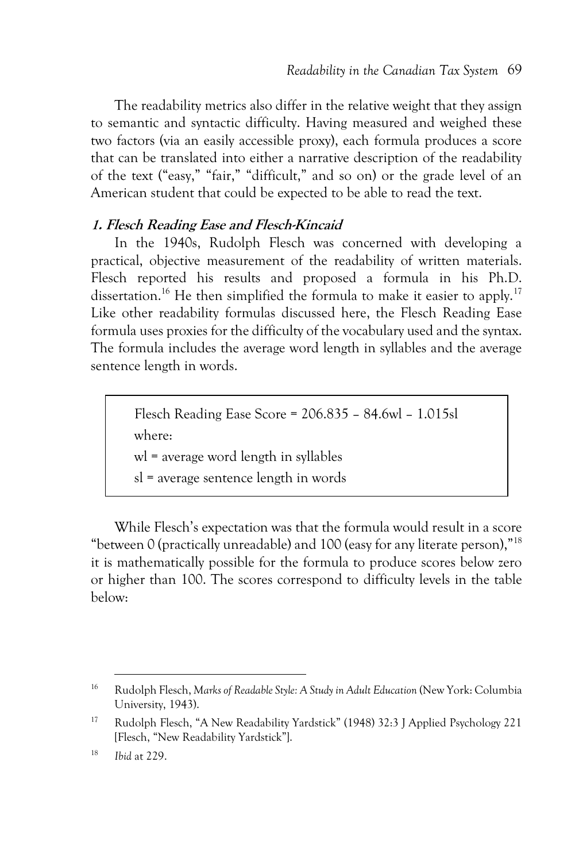The readability metrics also differ in the relative weight that they assign to semantic and syntactic difficulty. Having measured and weighed these two factors (via an easily accessible proxy), each formula produces a score that can be translated into either a narrative description of the readability of the text ("easy," "fair," "difficult," and so on) or the grade level of an American student that could be expected to be able to read the text.

### **1. Flesch Reading Ease and Flesch-Kincaid**

In the 1940s, Rudolph Flesch was concerned with developing a practical, objective measurement of the readability of written materials. Flesch reported his results and proposed a formula in his Ph.D. dissertation.<sup>16</sup> He then simplified the formula to make it easier to apply.<sup>17</sup> Like other readability formulas discussed here, the Flesch Reading Ease formula uses proxies for the difficulty of the vocabulary used and the syntax. The formula includes the average word length in syllables and the average sentence length in words.

> Flesch Reading Ease Score = 206.835 – 84.6wl – 1.015sl where: wl = average word length in syllables

sl = average sentence length in words

While Flesch's expectation was that the formula would result in a score "between 0 (practically unreadable) and 100 (easy for any literate person),"<sup>18</sup> it is mathematically possible for the formula to produce scores below zero or higher than 100. The scores correspond to difficulty levels in the table below:

<sup>16</sup> Rudolph Flesch, *Marks of Readable Style: A Study in Adult Education* (New York: Columbia University, 1943).

<sup>17</sup> Rudolph Flesch, "A New Readability Yardstick" (1948) 32:3 J Applied Psychology 221 [Flesch, "New Readability Yardstick"].

<sup>18</sup> *Ibid* at 229.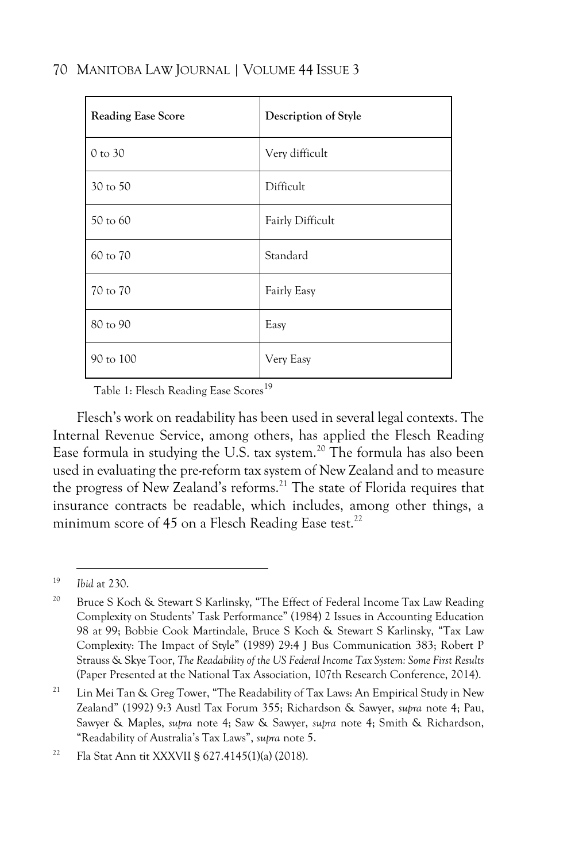| <b>Reading Ease Score</b> | Description of Style |
|---------------------------|----------------------|
| 0 to 30                   | Very difficult       |
| 30 to 50                  | Difficult            |
| 50 to 60                  | Fairly Difficult     |
| 60 to 70                  | Standard             |
| 70 to 70                  | Fairly Easy          |
| 80 to 90                  | Easy                 |
| 90 to 100                 | Very Easy            |

Table 1: Flesch Reading Ease Scores<sup>19</sup>

Flesch's work on readability has been used in several legal contexts. The Internal Revenue Service, among others, has applied the Flesch Reading Ease formula in studying the U.S. tax system.<sup>20</sup> The formula has also been used in evaluating the pre-reform tax system of New Zealand and to measure the progress of New Zealand's reforms.<sup>21</sup> The state of Florida requires that insurance contracts be readable, which includes, among other things, a minimum score of 45 on a Flesch Reading Ease test.<sup>22</sup>

<sup>19</sup> *Ibid* at 230.

<sup>&</sup>lt;sup>20</sup> Bruce S Koch & Stewart S Karlinsky, "The Effect of Federal Income Tax Law Reading Complexity on Students' Task Performance" (1984) 2 Issues in Accounting Education 98 at 99; Bobbie Cook Martindale, Bruce S Koch & Stewart S Karlinsky, "Tax Law Complexity: The Impact of Style" (1989) 29:4 J Bus Communication 383; Robert P Strauss & Skye Toor, *The Readability of the US Federal Income Tax System: Some First Results* (Paper Presented at the National Tax Association, 107th Research Conference, 2014).

<sup>&</sup>lt;sup>21</sup> Lin Mei Tan & Greg Tower, "The Readability of Tax Laws: An Empirical Study in New Zealand" (1992) 9:3 Austl Tax Forum 355; Richardson & Sawyer, *supra* note 4; Pau, Sawyer & Maples, *supra* note 4; Saw & Sawyer, *supra* note 4; Smith & Richardson, "Readability of Australia's Tax Laws", *supra* note 5.

<sup>22</sup> Fla Stat Ann tit XXXVII § 627.4145(1)(a) (2018).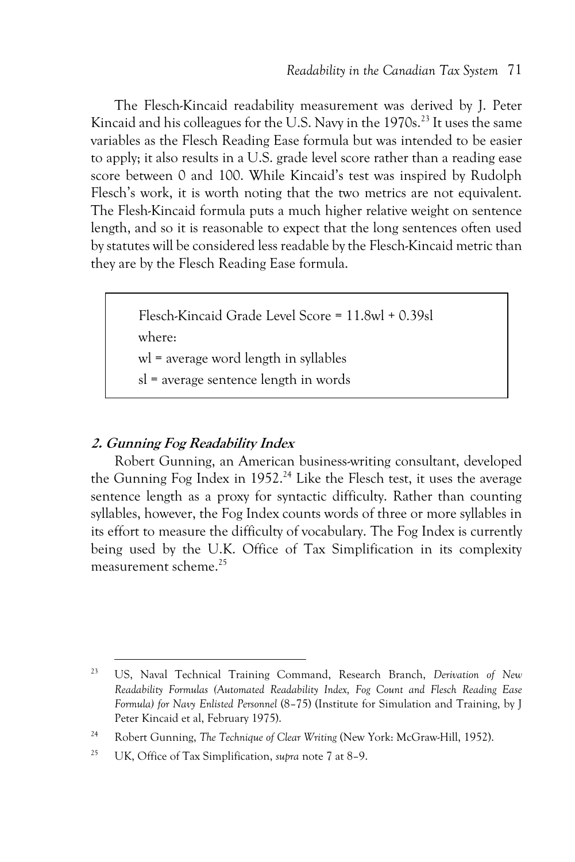The Flesch-Kincaid readability measurement was derived by J. Peter Kincaid and his colleagues for the U.S. Navy in the  $1970s$ .<sup>23</sup> It uses the same variables as the Flesch Reading Ease formula but was intended to be easier to apply; it also results in a U.S. grade level score rather than a reading ease score between 0 and 100. While Kincaid's test was inspired by Rudolph Flesch's work, it is worth noting that the two metrics are not equivalent. The Flesh-Kincaid formula puts a much higher relative weight on sentence length, and so it is reasonable to expect that the long sentences often used by statutes will be considered less readable by the Flesch-Kincaid metric than they are by the Flesch Reading Ease formula.

> Flesch-Kincaid Grade Level Score = 11.8wl + 0.39sl where: wl = average word length in syllables

sl = average sentence length in words

### **2. Gunning Fog Readability Index**

Robert Gunning, an American business-writing consultant, developed the Gunning Fog Index in 1952.<sup>24</sup> Like the Flesch test, it uses the average sentence length as a proxy for syntactic difficulty. Rather than counting syllables, however, the Fog Index counts words of three or more syllables in its effort to measure the difficulty of vocabulary. The Fog Index is currently being used by the U.K. Office of Tax Simplification in its complexity measurement scheme.<sup>25</sup>

<sup>23</sup> US, Naval Technical Training Command, Research Branch, *Derivation of New Readability Formulas (Automated Readability Index, Fog Count and Flesch Reading Ease Formula) for Navy Enlisted Personnel* (8–75) (Institute for Simulation and Training, by J Peter Kincaid et al, February 1975).

<sup>24</sup> Robert Gunning, *The Technique of Clear Writing* (New York: McGraw-Hill, 1952).

<sup>25</sup> UK, Office of Tax Simplification, *supra* note 7 at 8–9.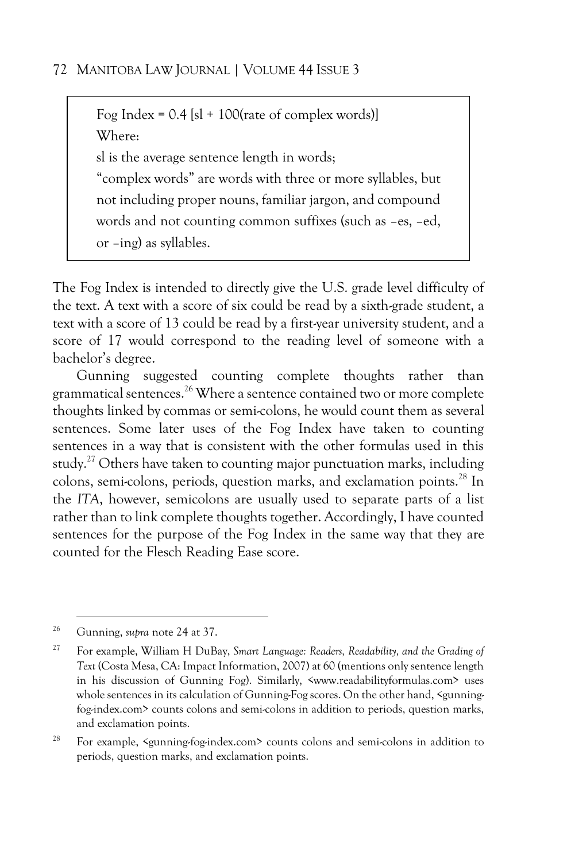Fog Index =  $0.4$  [s] + 100(rate of complex words)] Where: sl is the average sentence length in words; "complex words" are words with three or more syllables, but not including proper nouns, familiar jargon, and compound words and not counting common suffixes (such as –es, –ed, or –ing) as syllables.

The Fog Index is intended to directly give the U.S. grade level difficulty of the text. A text with a score of six could be read by a sixth-grade student, a text with a score of 13 could be read by a first-year university student, and a score of 17 would correspond to the reading level of someone with a bachelor's degree.

Gunning suggested counting complete thoughts rather than grammatical sentences.<sup>26</sup> Where a sentence contained two or more complete thoughts linked by commas or semi-colons, he would count them as several sentences. Some later uses of the Fog Index have taken to counting sentences in a way that is consistent with the other formulas used in this study.<sup>27</sup> Others have taken to counting major punctuation marks, including colons, semi-colons, periods, question marks, and exclamation points.<sup>28</sup> In the *ITA*, however, semicolons are usually used to separate parts of a list rather than to link complete thoughts together. Accordingly, I have counted sentences for the purpose of the Fog Index in the same way that they are counted for the Flesch Reading Ease score.

<sup>26</sup> Gunning, *supra* note 24 at 37.

<sup>27</sup> For example, William H DuBay, *Smart Language: Readers, Readability, and the Grading of Text* (Costa Mesa, CA: Impact Information, 2007) at 60 (mentions only sentence length in his discussion of Gunning Fog). Similarly, <www.readabilityformulas.com> uses whole sentences in its calculation of Gunning-Fog scores. On the other hand, <gunningfog-index.com> counts colons and semi-colons in addition to periods, question marks, and exclamation points.

<sup>28</sup> For example, <gunning-fog-index.com> counts colons and semi-colons in addition to periods, question marks, and exclamation points.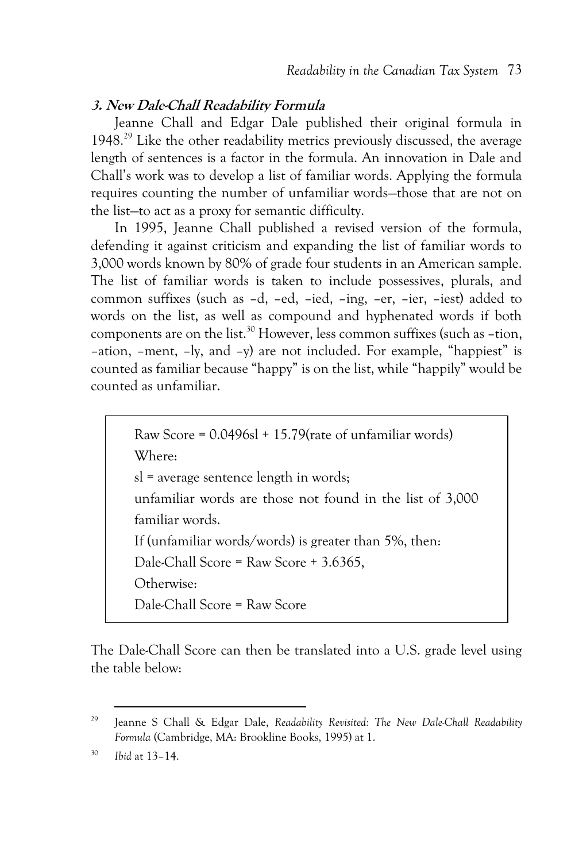### **3. New Dale-Chall Readability Formula**

Jeanne Chall and Edgar Dale published their original formula in  $1948.<sup>29</sup>$  Like the other readability metrics previously discussed, the average length of sentences is a factor in the formula. An innovation in Dale and Chall's work was to develop a list of familiar words. Applying the formula requires counting the number of unfamiliar words—those that are not on the list—to act as a proxy for semantic difficulty.

In 1995, Jeanne Chall published a revised version of the formula, defending it against criticism and expanding the list of familiar words to 3,000 words known by 80% of grade four students in an American sample. The list of familiar words is taken to include possessives, plurals, and common suffixes (such as –d, –ed, –ied, –ing, –er, –ier, –iest) added to words on the list, as well as compound and hyphenated words if both components are on the list.<sup>30</sup> However, less common suffixes (such as –tion, –ation, –ment, –ly, and –y) are not included. For example, "happiest" is counted as familiar because "happy" is on the list, while "happily" would be counted as unfamiliar.

> Raw Score =  $0.0496s1 + 15.79$  (rate of unfamiliar words) Where: sl = average sentence length in words; unfamiliar words are those not found in the list of 3,000 familiar words. If (unfamiliar words/words) is greater than 5%, then: Dale-Chall Score = Raw Score + 3.6365, Otherwise: Dale-Chall Score = Raw Score

The Dale-Chall Score can then be translated into a U.S. grade level using the table below:

<sup>29</sup> Jeanne S Chall & Edgar Dale, *Readability Revisited: The New Dale-Chall Readability Formula* (Cambridge, MA: Brookline Books, 1995) at 1.

<sup>30</sup> *Ibid* at 13–14.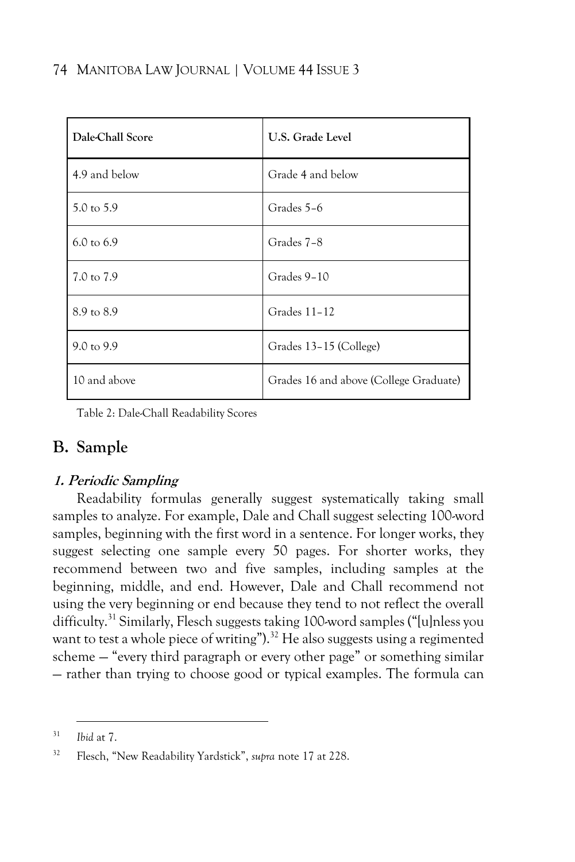| Dale-Chall Score      | U.S. Grade Level                       |
|-----------------------|----------------------------------------|
| 4.9 and below         | Grade 4 and below                      |
| 5.0 to 5.9            | Grades 5-6                             |
| $6.0 \text{ to } 6.9$ | Grades 7-8                             |
| 7.0 to 7.9            | Grades 9-10                            |
| 8.9 to 8.9            | Grades 11-12                           |
| 9.0 to 9.9            | Grades 13-15 (College)                 |
| 10 and above          | Grades 16 and above (College Graduate) |

Table 2: Dale-Chall Readability Scores

### **B. Sample**

### **1. Periodic Sampling**

Readability formulas generally suggest systematically taking small samples to analyze. For example, Dale and Chall suggest selecting 100-word samples, beginning with the first word in a sentence. For longer works, they suggest selecting one sample every 50 pages. For shorter works, they recommend between two and five samples, including samples at the beginning, middle, and end. However, Dale and Chall recommend not using the very beginning or end because they tend to not reflect the overall difficulty.<sup>31</sup> Similarly, Flesch suggests taking 100-word samples ("[u]nless you want to test a whole piece of writing").<sup>32</sup> He also suggests using a regimented scheme — "every third paragraph or every other page" or something similar — rather than trying to choose good or typical examples. The formula can

<sup>31</sup> *Ibid* at 7.

<sup>32</sup> Flesch, "New Readability Yardstick", *supra* note 17 at 228.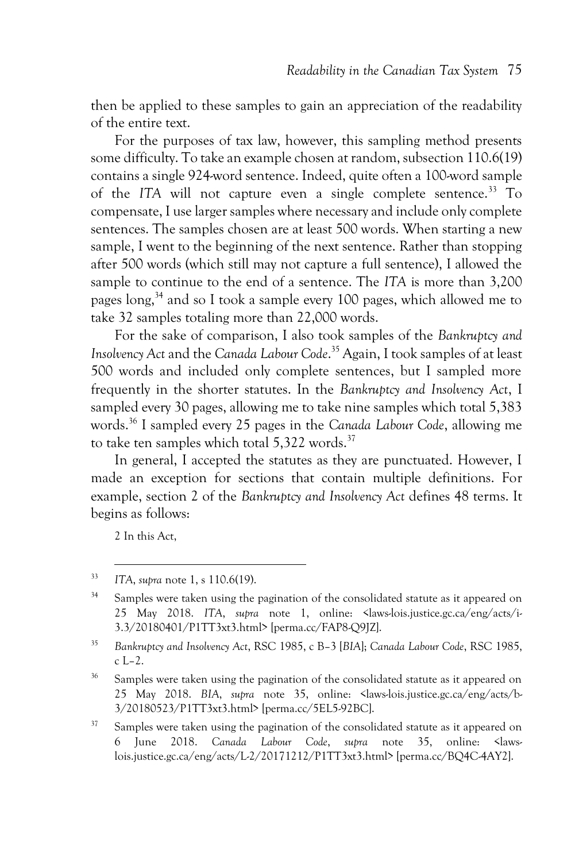then be applied to these samples to gain an appreciation of the readability of the entire text.

For the purposes of tax law, however, this sampling method presents some difficulty. To take an example chosen at random, subsection 110.6(19) contains a single 924-word sentence. Indeed, quite often a 100-word sample of the *ITA* will not capture even a single complete sentence.<sup>33</sup> To compensate, I use larger samples where necessary and include only complete sentences. The samples chosen are at least 500 words. When starting a new sample, I went to the beginning of the next sentence. Rather than stopping after 500 words (which still may not capture a full sentence), I allowed the sample to continue to the end of a sentence. The *ITA* is more than 3,200 pages long,<sup>34</sup> and so I took a sample every 100 pages, which allowed me to take 32 samples totaling more than 22,000 words.

For the sake of comparison, I also took samples of the *Bankruptcy and Insolvency Act* and the *Canada Labour Code*. <sup>35</sup> Again, I took samples of at least 500 words and included only complete sentences, but I sampled more frequently in the shorter statutes. In the *Bankruptcy and Insolvency Act*, I sampled every 30 pages, allowing me to take nine samples which total 5,383 words.<sup>36</sup> I sampled every 25 pages in the *Canada Labour Code*, allowing me to take ten samples which total  $5.322$  words.<sup>37</sup>

In general, I accepted the statutes as they are punctuated. However, I made an exception for sections that contain multiple definitions. For example, section 2 of the *Bankruptcy and Insolvency Act* defines 48 terms. It begins as follows:

2 In this Act,

<sup>33</sup> *ITA*, *supra* note 1, s 110.6(19).

<sup>&</sup>lt;sup>34</sup> Samples were taken using the pagination of the consolidated statute as it appeared on 25 May 2018. *ITA*, *supra* note 1, online: <laws-lois.justice.gc.ca/eng/acts/i-3.3/20180401/P1TT3xt3.html> [perma.cc/FAP8-Q9JZ].

<sup>35</sup> *Bankruptcy and Insolvency Act*, RSC 1985, c B–3 [*BIA*]; *Canada Labour Code*, RSC 1985, c L–2.

<sup>&</sup>lt;sup>36</sup> Samples were taken using the pagination of the consolidated statute as it appeared on 25 May 2018. *BIA*, *supra* note 35, online: <laws-lois.justice.gc.ca/eng/acts/b-3/20180523/P1TT3xt3.html> [perma.cc/5EL5-92BC].

 $37$  Samples were taken using the pagination of the consolidated statute as it appeared on 6 June 2018. *Canada Labour Code*, *supra* note 35, online: <lawslois.justice.gc.ca/eng/acts/L-2/20171212/P1TT3xt3.html> [perma.cc/BQ4C-4AY2].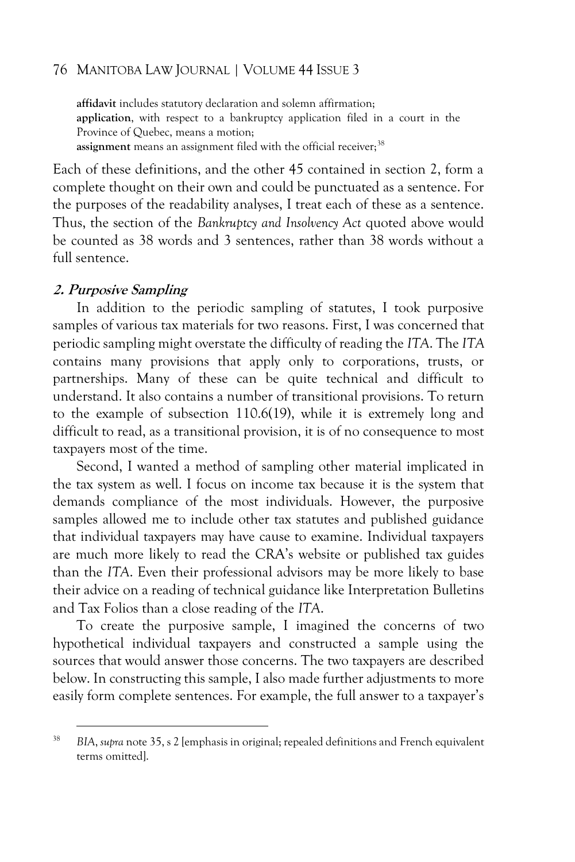**affidavit** includes statutory declaration and solemn affirmation; **application**, with respect to a bankruptcy application filed in a court in the Province of Quebec, means a motion; assignment means an assignment filed with the official receiver;<sup>38</sup>

Each of these definitions, and the other 45 contained in section 2, form a complete thought on their own and could be punctuated as a sentence. For the purposes of the readability analyses, I treat each of these as a sentence. Thus, the section of the *Bankruptcy and Insolvency Act* quoted above would be counted as 38 words and 3 sentences, rather than 38 words without a full sentence.

#### **2. Purposive Sampling**

In addition to the periodic sampling of statutes, I took purposive samples of various tax materials for two reasons. First, I was concerned that periodic sampling might overstate the difficulty of reading the *ITA*. The *ITA* contains many provisions that apply only to corporations, trusts, or partnerships. Many of these can be quite technical and difficult to understand. It also contains a number of transitional provisions. To return to the example of subsection 110.6(19), while it is extremely long and difficult to read, as a transitional provision, it is of no consequence to most taxpayers most of the time.

Second, I wanted a method of sampling other material implicated in the tax system as well. I focus on income tax because it is the system that demands compliance of the most individuals. However, the purposive samples allowed me to include other tax statutes and published guidance that individual taxpayers may have cause to examine. Individual taxpayers are much more likely to read the CRA's website or published tax guides than the *ITA*. Even their professional advisors may be more likely to base their advice on a reading of technical guidance like Interpretation Bulletins and Tax Folios than a close reading of the *ITA*.

To create the purposive sample, I imagined the concerns of two hypothetical individual taxpayers and constructed a sample using the sources that would answer those concerns. The two taxpayers are described below. In constructing this sample, I also made further adjustments to more easily form complete sentences. For example, the full answer to a taxpayer's

<sup>38</sup> *BIA*, *supra* note 35, s 2 [emphasis in original; repealed definitions and French equivalent terms omitted].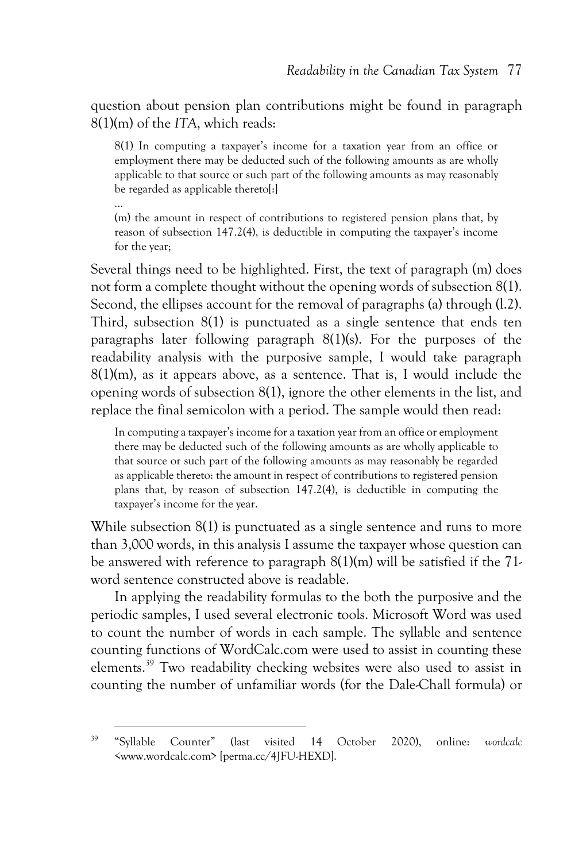question about pension plan contributions might be found in paragraph 8(1)(m) of the *ITA*, which reads:

8(1) In computing a taxpayer's income for a taxation year from an office or employment there may be deducted such of the following amounts as are wholly applicable to that source or such part of the following amounts as may reasonably be regarded as applicable theretol:

… (m) the amount in respect of contributions to registered pension plans that, by reason of subsection 147.2(4), is deductible in computing the taxpayer's income for the year;

Several things need to be highlighted. First, the text of paragraph (m) does not form a complete thought without the opening words of subsection 8(1). Second, the ellipses account for the removal of paragraphs (a) through (l.2). Third, subsection 8(1) is punctuated as a single sentence that ends ten paragraphs later following paragraph 8(1)(s). For the purposes of the readability analysis with the purposive sample, I would take paragraph 8(1)(m), as it appears above, as a sentence. That is, I would include the opening words of subsection 8(1), ignore the other elements in the list, and replace the final semicolon with a period. The sample would then read:

In computing a taxpayer's income for a taxation year from an office or employment there may be deducted such of the following amounts as are wholly applicable to that source or such part of the following amounts as may reasonably be regarded as applicable thereto: the amount in respect of contributions to registered pension plans that, by reason of subsection 147.2(4), is deductible in computing the taxpayer's income for the year.

While subsection 8(1) is punctuated as a single sentence and runs to more than 3,000 words, in this analysis I assume the taxpayer whose question can be answered with reference to paragraph 8(1)(m) will be satisfied if the 71 word sentence constructed above is readable.

In applying the readability formulas to the both the purposive and the periodic samples, I used several electronic tools. Microsoft Word was used to count the number of words in each sample. The syllable and sentence counting functions of WordCalc.com were used to assist in counting these elements.<sup>39</sup> Two readability checking websites were also used to assist in counting the number of unfamiliar words (for the Dale-Chall formula) or

<sup>39</sup> "Syllable Counter" (last visited 14 October 2020), online: *wordcalc* <www.wordcalc.com> [perma.cc/4JFU-HEXD].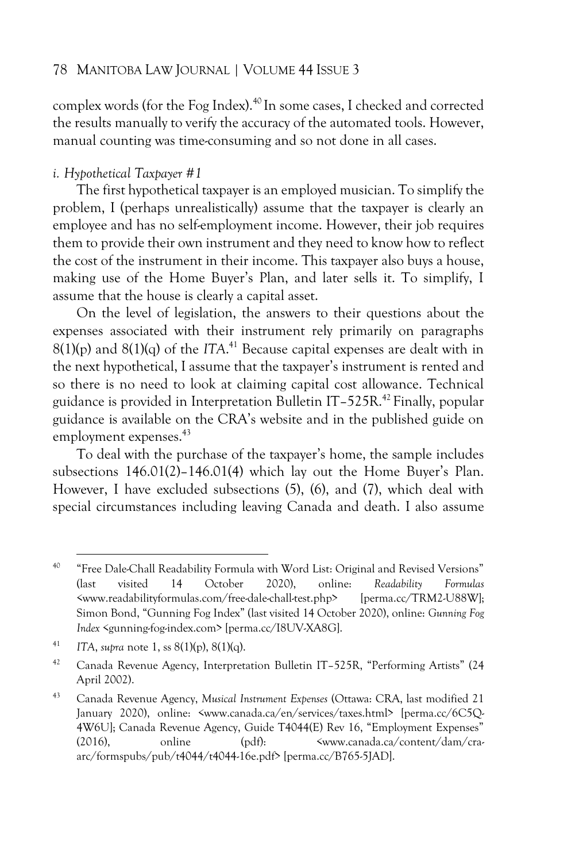complex words (for the Fog Index).<sup>40</sup> In some cases, I checked and corrected the results manually to verify the accuracy of the automated tools. However, manual counting was time-consuming and so not done in all cases.

#### *i. Hypothetical Taxpayer #1*

The first hypothetical taxpayer is an employed musician. To simplify the problem, I (perhaps unrealistically) assume that the taxpayer is clearly an employee and has no self-employment income. However, their job requires them to provide their own instrument and they need to know how to reflect the cost of the instrument in their income. This taxpayer also buys a house, making use of the Home Buyer's Plan, and later sells it. To simplify, I assume that the house is clearly a capital asset.

On the level of legislation, the answers to their questions about the expenses associated with their instrument rely primarily on paragraphs  $8(1)(p)$  and  $8(1)(q)$  of the *ITA*.<sup>41</sup> Because capital expenses are dealt with in the next hypothetical, I assume that the taxpayer's instrument is rented and so there is no need to look at claiming capital cost allowance. Technical guidance is provided in Interpretation Bulletin IT–525R.<sup>42</sup> Finally, popular guidance is available on the CRA's website and in the published guide on employment expenses.<sup>43</sup>

To deal with the purchase of the taxpayer's home, the sample includes subsections 146.01(2)–146.01(4) which lay out the Home Buyer's Plan. However, I have excluded subsections (5), (6), and (7), which deal with special circumstances including leaving Canada and death. I also assume

<sup>40</sup> "Free Dale-Chall Readability Formula with Word List: Original and Revised Versions" (last visited 14 October 2020), online: *Readability Formulas*  <www.readabilityformulas.com/free-dale-chall-test.php> [perma.cc/TRM2-U88W]; Simon Bond, "Gunning Fog Index" (last visited 14 October 2020), online: *Gunning Fog Index* <gunning-fog-index.com> [perma.cc/I8UV-XA8G].

<sup>41</sup> *ITA*, *supra* note 1, ss 8(1)(p), 8(1)(q).

<sup>42</sup> Canada Revenue Agency, Interpretation Bulletin IT–525R, "Performing Artists" (24 April 2002).

<sup>43</sup> Canada Revenue Agency, *Musical Instrument Expenses* (Ottawa: CRA, last modified 21 January 2020), online: <www.canada.ca/en/services/taxes.html> [perma.cc/6C5Q-4W6U]; Canada Revenue Agency, Guide T4044(E) Rev 16, "Employment Expenses" (2016), online (pdf): <www.canada.ca/content/dam/craarc/formspubs/pub/t4044/t4044-16e.pdf> [perma.cc/B765-5JAD].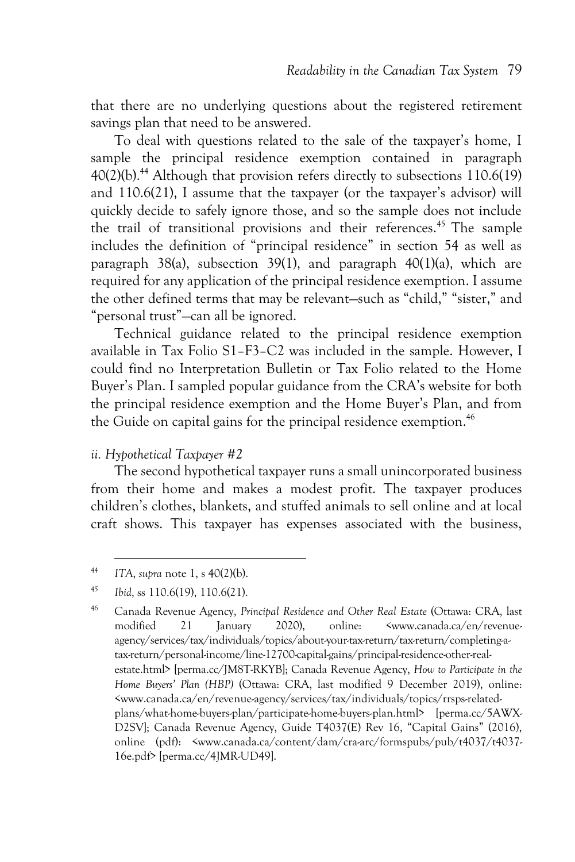that there are no underlying questions about the registered retirement savings plan that need to be answered.

To deal with questions related to the sale of the taxpayer's home, I sample the principal residence exemption contained in paragraph  $40(2)(b)$ .<sup>44</sup> Although that provision refers directly to subsections 110.6(19) and 110.6(21), I assume that the taxpayer (or the taxpayer's advisor) will quickly decide to safely ignore those, and so the sample does not include the trail of transitional provisions and their references.<sup>45</sup> The sample includes the definition of "principal residence" in section 54 as well as paragraph 38(a), subsection 39(1), and paragraph 40(1)(a), which are required for any application of the principal residence exemption. I assume the other defined terms that may be relevant—such as "child," "sister," and "personal trust"—can all be ignored.

Technical guidance related to the principal residence exemption available in Tax Folio S1–F3–C2 was included in the sample. However, I could find no Interpretation Bulletin or Tax Folio related to the Home Buyer's Plan. I sampled popular guidance from the CRA's website for both the principal residence exemption and the Home Buyer's Plan, and from the Guide on capital gains for the principal residence exemption.<sup>46</sup>

#### *ii. Hypothetical Taxpayer #2*

The second hypothetical taxpayer runs a small unincorporated business from their home and makes a modest profit. The taxpayer produces children's clothes, blankets, and stuffed animals to sell online and at local craft shows. This taxpayer has expenses associated with the business,

<sup>44</sup> *ITA*, *supra* note 1, s 40(2)(b).

<sup>45</sup> *Ibid*, ss 110.6(19), 110.6(21).

<sup>46</sup> Canada Revenue Agency, *Principal Residence and Other Real Estate* (Ottawa: CRA, last modified 21 January 2020), online: <www.canada.ca/en/revenueagency/services/tax/individuals/topics/about-your-tax-return/tax-return/completing-atax-return/personal-income/line-12700-capital-gains/principal-residence-other-realestate.html> [perma.cc/JM8T-RKYB]; Canada Revenue Agency, *How to Participate in the Home Buyers' Plan (HBP)* (Ottawa: CRA, last modified 9 December 2019), online: <www.canada.ca/en/revenue-agency/services/tax/individuals/topics/rrsps-relatedplans/what-home-buyers-plan/participate-home-buyers-plan.html> [perma.cc/5AWX-D2SV]; Canada Revenue Agency, Guide T4037(E) Rev 16, "Capital Gains" (2016), online (pdf): <www.canada.ca/content/dam/cra-arc/formspubs/pub/t4037/t4037- 16e.pdf> [perma.cc/4JMR-UD49].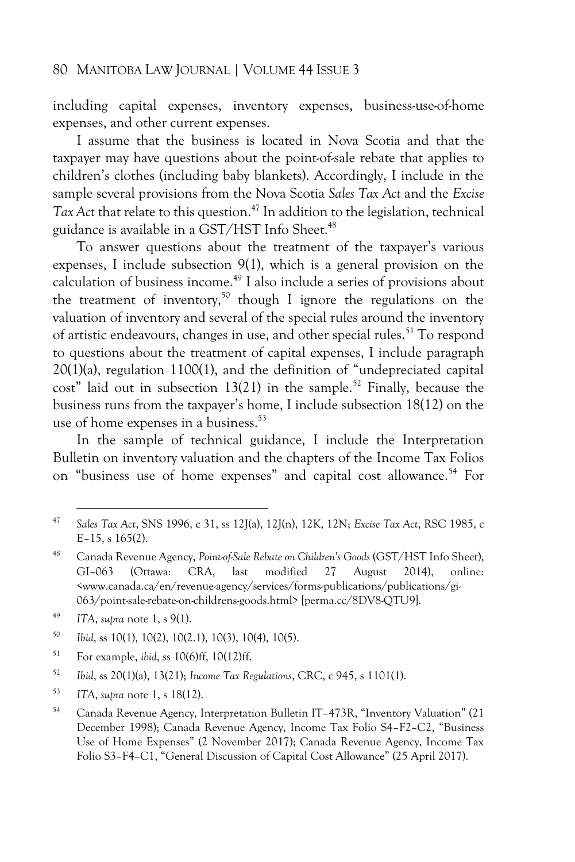including capital expenses, inventory expenses, business-use-of-home expenses, and other current expenses.

I assume that the business is located in Nova Scotia and that the taxpayer may have questions about the point-of-sale rebate that applies to children's clothes (including baby blankets). Accordingly, I include in the sample several provisions from the Nova Scotia *Sales Tax Act* and the *Excise Tax Act* that relate to this question.<sup>47</sup> In addition to the legislation, technical guidance is available in a GST/HST Info Sheet.<sup>48</sup>

To answer questions about the treatment of the taxpayer's various expenses, I include subsection 9(1), which is a general provision on the calculation of business income.<sup>49</sup> I also include a series of provisions about the treatment of inventory,<sup>50</sup> though I ignore the regulations on the valuation of inventory and several of the special rules around the inventory of artistic endeavours, changes in use, and other special rules.<sup>51</sup> To respond to questions about the treatment of capital expenses, I include paragraph 20(1)(a), regulation 1100(1), and the definition of "undepreciated capital cost" laid out in subsection 13(21) in the sample.<sup>52</sup> Finally, because the business runs from the taxpayer's home, I include subsection 18(12) on the use of home expenses in a business.<sup>53</sup>

In the sample of technical guidance, I include the Interpretation Bulletin on inventory valuation and the chapters of the Income Tax Folios on "business use of home expenses" and capital cost allowance.<sup>54</sup> For

<sup>50</sup> *Ibid*, ss 10(1), 10(2), 10(2.1), 10(3), 10(4), 10(5).

<sup>51</sup> For example, *ibid*, ss 10(6)ff, 10(12)ff.

<sup>52</sup> *Ibid*, ss 20(1)(a), 13(21); *Income Tax Regulations*, CRC, c 945, s 1101(1).

<sup>53</sup> *ITA*, *supra* note 1, s 18(12).

<sup>47</sup> *Sales Tax Act*, SNS 1996, c 31, ss 12J(a), 12J(n), 12K, 12N; *Excise Tax Act*, RSC 1985, c E–15, s 165(2).

<sup>48</sup> Canada Revenue Agency, *Point-of-Sale Rebate on Children's Goods* (GST/HST Info Sheet), GI–063 (Ottawa: CRA, last modified 27 August 2014), online: <www.canada.ca/en/revenue-agency/services/forms-publications/publications/gi-063/point-sale-rebate-on-childrens-goods.html> [perma.cc/8DV8-QTU9].

<sup>49</sup> *ITA*, *supra* note 1, s 9(1).

<sup>54</sup> Canada Revenue Agency, Interpretation Bulletin IT–473R, "Inventory Valuation" (21 December 1998); Canada Revenue Agency, Income Tax Folio S4–F2–C2, "Business Use of Home Expenses" (2 November 2017); Canada Revenue Agency, Income Tax Folio S3–F4–C1, "General Discussion of Capital Cost Allowance" (25 April 2017).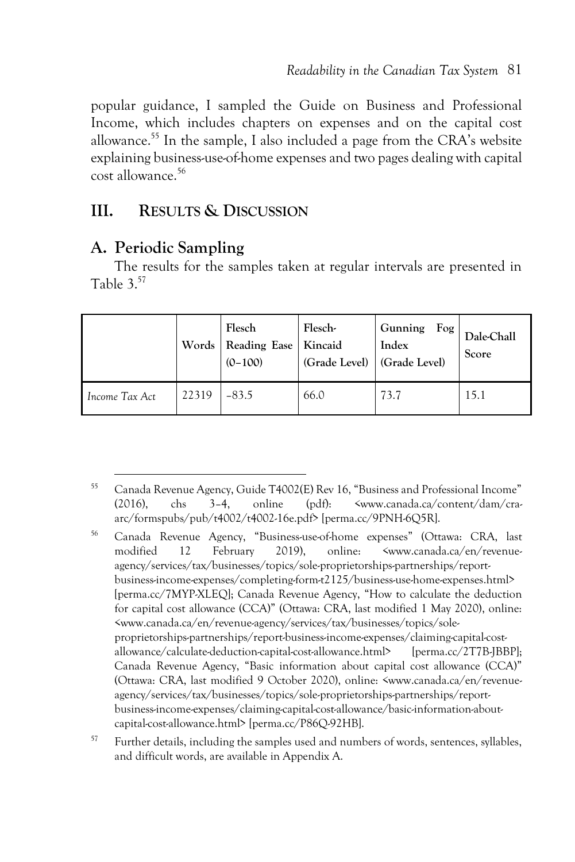popular guidance, I sampled the Guide on Business and Professional Income, which includes chapters on expenses and on the capital cost allowance.<sup>55</sup> In the sample, I also included a page from the CRA's website explaining business-use-of-home expenses and two pages dealing with capital cost allowance.<sup>56</sup>

### **III. RESULTS & DISCUSSION**

### **A. Periodic Sampling**

The results for the samples taken at regular intervals are presented in Table 3.<sup>57</sup>

|                | Flesch<br>Words Reading Ease Kincaid<br>$(0-100)$ |         | Flesch-<br>(Grade Level) (Grade Level) | Fog<br>Gunning<br>Index | Dale-Chall<br>Score |
|----------------|---------------------------------------------------|---------|----------------------------------------|-------------------------|---------------------|
| Income Tax Act | 22319                                             | $-83.5$ | 66.0                                   | 73.7                    | 15.1                |

<sup>55</sup> Canada Revenue Agency, Guide T4002(E) Rev 16, "Business and Professional Income" (2016), chs 3–4, online (pdf): <www.canada.ca/content/dam/craarc/formspubs/pub/t4002/t4002-16e.pdf> [perma.cc/9PNH-6Q5R].

<sup>56</sup> Canada Revenue Agency, "Business-use-of-home expenses" (Ottawa: CRA, last modified 12 February 2019), online: <www.canada.ca/en/revenueagency/services/tax/businesses/topics/sole-proprietorships-partnerships/reportbusiness-income-expenses/completing-form-t2125/business-use-home-expenses.html> [perma.cc/7MYP-XLEQ]; Canada Revenue Agency, "How to calculate the deduction for capital cost allowance (CCA)" (Ottawa: CRA, last modified 1 May 2020), online: <www.canada.ca/en/revenue-agency/services/tax/businesses/topics/soleproprietorships-partnerships/report-business-income-expenses/claiming-capital-costallowance/calculate-deduction-capital-cost-allowance.html> [perma.cc/2T7B-JBBP]; Canada Revenue Agency, "Basic information about capital cost allowance (CCA)" (Ottawa: CRA, last modified 9 October 2020), online: <www.canada.ca/en/revenueagency/services/tax/businesses/topics/sole-proprietorships-partnerships/reportbusiness-income-expenses/claiming-capital-cost-allowance/basic-information-aboutcapital-cost-allowance.html> [perma.cc/P86Q-92HB].

<sup>57</sup> Further details, including the samples used and numbers of words, sentences, syllables, and difficult words, are available in Appendix A.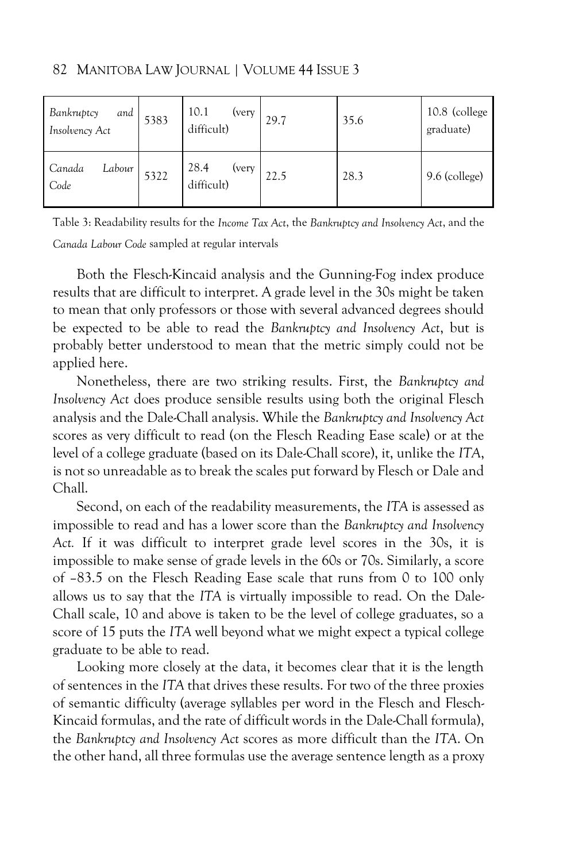| Bankruptcy<br>Insolvency Act<br>and | 5383 | 10.1<br>(very<br>difficult) | 29.7 | 35.6 | 10.8 (college<br>graduate) |
|-------------------------------------|------|-----------------------------|------|------|----------------------------|
| Canada<br>Labour<br>Code            | 5322 | 28.4<br>(very<br>difficult) | 22.5 | 28.3 | 9.6 (college)              |

82 MANITOBA LAW JOURNAL | VOLUME 44 ISSUE 3

Both the Flesch-Kincaid analysis and the Gunning-Fog index produce results that are difficult to interpret. A grade level in the 30s might be taken to mean that only professors or those with several advanced degrees should be expected to be able to read the *Bankruptcy and Insolvency Act*, but is probably better understood to mean that the metric simply could not be applied here.

Nonetheless, there are two striking results. First, the *Bankruptcy and Insolvency Act* does produce sensible results using both the original Flesch analysis and the Dale-Chall analysis. While the *Bankruptcy and Insolvency Act* scores as very difficult to read (on the Flesch Reading Ease scale) or at the level of a college graduate (based on its Dale-Chall score), it, unlike the *ITA*, is not so unreadable as to break the scales put forward by Flesch or Dale and Chall.

Second, on each of the readability measurements, the *ITA* is assessed as impossible to read and has a lower score than the *Bankruptcy and Insolvency Act.* If it was difficult to interpret grade level scores in the 30s, it is impossible to make sense of grade levels in the 60s or 70s. Similarly, a score of –83.5 on the Flesch Reading Ease scale that runs from 0 to 100 only allows us to say that the *ITA* is virtually impossible to read. On the Dale-Chall scale, 10 and above is taken to be the level of college graduates, so a score of 15 puts the *ITA* well beyond what we might expect a typical college graduate to be able to read.

Looking more closely at the data, it becomes clear that it is the length of sentences in the *ITA* that drives these results. For two of the three proxies of semantic difficulty (average syllables per word in the Flesch and Flesch-Kincaid formulas, and the rate of difficult words in the Dale-Chall formula), the *Bankruptcy and Insolvency Act* scores as more difficult than the *ITA*. On the other hand, all three formulas use the average sentence length as a proxy

Table 3: Readability results for the *Income Tax Act*, the *Bankruptcy and Insolvency Act*, and the *Canada Labour Code* sampled at regular intervals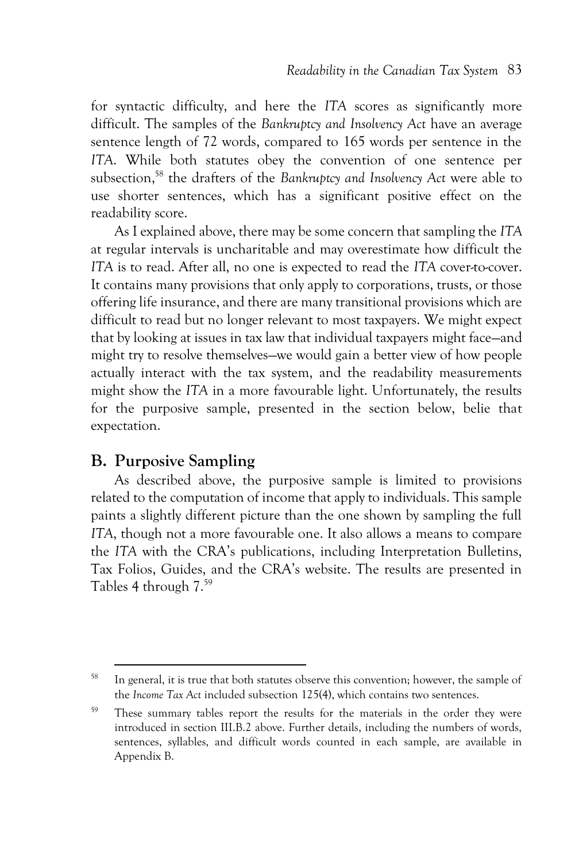for syntactic difficulty, and here the *ITA* scores as significantly more difficult. The samples of the *Bankruptcy and Insolvency Act* have an average sentence length of 72 words, compared to 165 words per sentence in the *ITA*. While both statutes obey the convention of one sentence per subsection,<sup>58</sup> the drafters of the *Bankruptcy and Insolvency Act* were able to use shorter sentences, which has a significant positive effect on the readability score.

As I explained above, there may be some concern that sampling the *ITA* at regular intervals is uncharitable and may overestimate how difficult the *ITA* is to read. After all, no one is expected to read the *ITA* cover-to-cover. It contains many provisions that only apply to corporations, trusts, or those offering life insurance, and there are many transitional provisions which are difficult to read but no longer relevant to most taxpayers. We might expect that by looking at issues in tax law that individual taxpayers might face—and might try to resolve themselves—we would gain a better view of how people actually interact with the tax system, and the readability measurements might show the *ITA* in a more favourable light. Unfortunately, the results for the purposive sample, presented in the section below, belie that expectation.

### **B. Purposive Sampling**

As described above, the purposive sample is limited to provisions related to the computation of income that apply to individuals. This sample paints a slightly different picture than the one shown by sampling the full *ITA*, though not a more favourable one. It also allows a means to compare the *ITA* with the CRA's publications, including Interpretation Bulletins, Tax Folios, Guides, and the CRA's website. The results are presented in Tables 4 through 7.<sup>59</sup>

<sup>&</sup>lt;sup>58</sup> In general, it is true that both statutes observe this convention; however, the sample of the *Income Tax Act* included subsection 125(4), which contains two sentences.

<sup>59</sup> These summary tables report the results for the materials in the order they were introduced in section III.B.2 above. Further details, including the numbers of words, sentences, syllables, and difficult words counted in each sample, are available in Appendix B.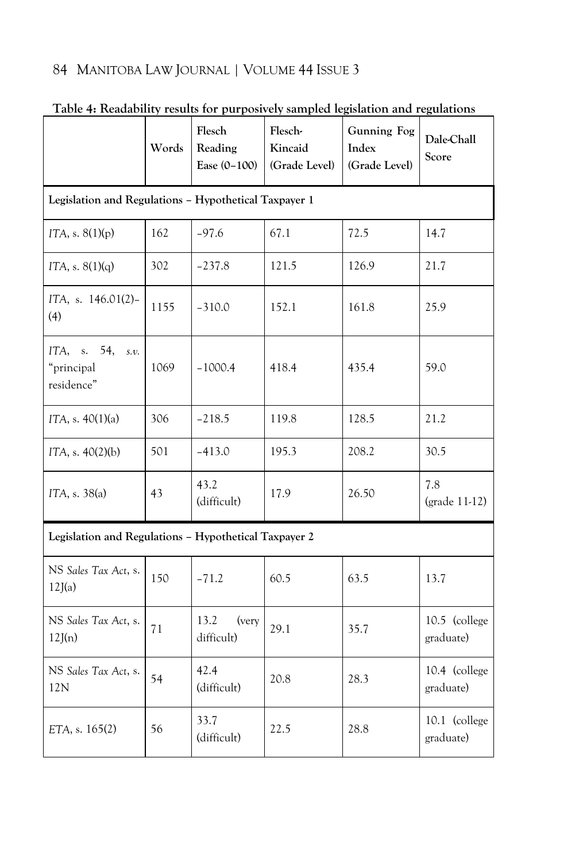|                                                       | Words | Flesch<br>Reading<br>Ease (0-100) | Flesch-<br>Kincaid<br>(Grade Level) | Gunning Fog<br>Index<br>(Grade Level) | Dale-Chall<br>Score        |  |  |  |  |  |  |
|-------------------------------------------------------|-------|-----------------------------------|-------------------------------------|---------------------------------------|----------------------------|--|--|--|--|--|--|
| Legislation and Regulations - Hypothetical Taxpayer 1 |       |                                   |                                     |                                       |                            |  |  |  |  |  |  |
| ITA, s. $8(1)(p)$                                     | 162   | $-97.6$                           | 67.1                                | 72.5                                  | 14.7                       |  |  |  |  |  |  |
| ITA, s. $8(1)(q)$                                     | 302   | $-237.8$                          | 121.5                               | 126.9                                 | 21.7                       |  |  |  |  |  |  |
| ITA, s. 146.01(2)-<br>(4)                             | 1155  | $-310.0$                          | 152.1                               | 161.8                                 | 25.9                       |  |  |  |  |  |  |
| ITA, s. 54,<br>S.V.<br>"principal<br>residence"       | 1069  | $-1000.4$                         | 418.4                               | 435.4                                 | 59.0                       |  |  |  |  |  |  |
| ITA, s. $40(1)(a)$                                    | 306   | $-218.5$                          | 119.8<br>128.5                      |                                       | 21.2                       |  |  |  |  |  |  |
| ITA, s. $40(2)(b)$                                    | 501   | $-413.0$                          | 195.3                               | 208.2                                 | 30.5                       |  |  |  |  |  |  |
| ITA, s. 38(a)                                         | 43    | 43.2<br>(difficult)               | 17.9                                | 26.50                                 | 7.8<br>(grade 11-12)       |  |  |  |  |  |  |
| Legislation and Regulations - Hypothetical Taxpayer 2 |       |                                   |                                     |                                       |                            |  |  |  |  |  |  |
| NS Sales Tax Act, s.<br>12J(a)                        | 150   | $-71.2$                           | 60.5                                | 63.5                                  | 13.7                       |  |  |  |  |  |  |
| NS Sales Tax Act, s.<br>12J(n)                        | 71    | 13.2<br>(very<br>difficult)       | 29.1                                | 35.7                                  | 10.5 (college<br>graduate) |  |  |  |  |  |  |
| NS Sales Tax Act, s.<br>12N                           | 54    | 42.4<br>(difficult)               | 20.8                                | 28.3                                  | 10.4 (college<br>graduate) |  |  |  |  |  |  |
| ETA, s. 165(2)                                        | 56    | 33.7<br>(difficult)               | 22.5                                | 28.8                                  | 10.1 (college<br>graduate) |  |  |  |  |  |  |

### **Table 4: Readability results for purposively sampled legislation and regulations**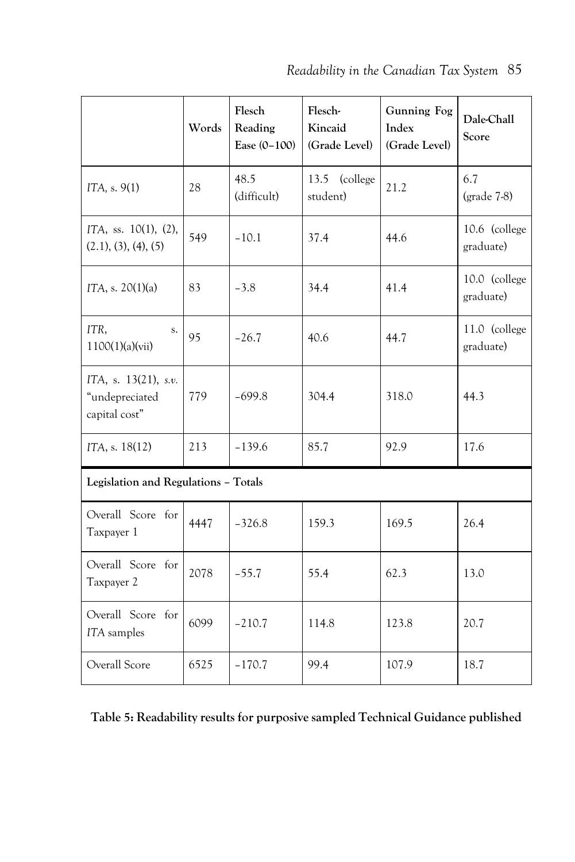|                                                         | Words | Flesch<br>Reading<br>Ease (0-100) | Flesch-<br>Kincaid<br>(Grade Level) | <b>Gunning Fog</b><br>Index<br>(Grade Level) | Dale-Chall<br>Score        |  |
|---------------------------------------------------------|-------|-----------------------------------|-------------------------------------|----------------------------------------------|----------------------------|--|
| ITA, s. 9(1)                                            | 28    | 48.5<br>(difficult)               | 13.5<br>(college<br>student)        | 21.2                                         | 6.7<br>$(grade 7-8)$       |  |
| ITA, ss. 10(1), (2),<br>(2.1), (3), (4), (5)            | 549   | $-10.1$                           | 37.4                                | 44.6                                         | 10.6 (college<br>graduate) |  |
| ITA, s. $20(1)(a)$                                      | 83    | $-3.8$                            | 34.4                                | 41.4                                         | 10.0 (college<br>graduate) |  |
| ITR,<br>S.<br>1100(1)(a)(vii)                           | 95    | $-26.7$                           | 40.6<br>44.7                        |                                              | 11.0 (college<br>graduate) |  |
| ITA, s. 13(21), s.v.<br>"undepreciated<br>capital cost" | 779   | $-699.8$                          | 304.4                               | 318.0                                        | 44.3                       |  |
| ITA, s. 18(12)                                          | 213   | $-139.6$                          | 85.7<br>92.9                        |                                              | 17.6                       |  |
| Legislation and Regulations - Totals                    |       |                                   |                                     |                                              |                            |  |
| Overall Score for<br>Taxpayer 1                         | 4447  | $-326.8$                          | 159.3                               | 169.5                                        | 26.4                       |  |
| Overall Score for<br>Taxpayer 2                         | 2078  | $-55.7$                           | 55.4                                | 62.3                                         | 13.0                       |  |
| Overall Score for<br>ITA samples                        | 6099  | $-210.7$                          | 114.8                               | 123.8                                        | 20.7                       |  |
| Overall Score                                           | 6525  | $-170.7$                          | 99.4                                | 107.9                                        | 18.7                       |  |

**Table 5: Readability results for purposive sampled Technical Guidance published**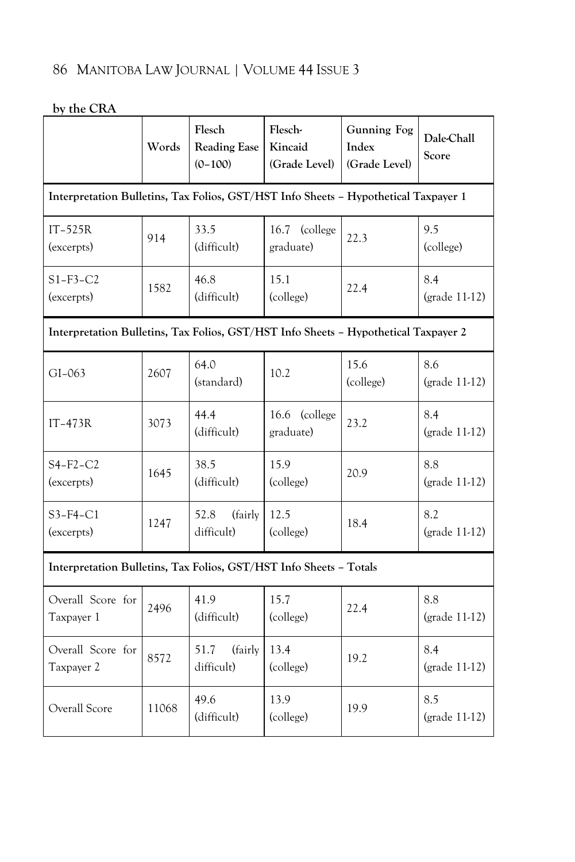| Dy the URA                                                                          | Words | Flesch<br><b>Reading Ease</b><br>$(0-100)$ | Flesch-<br><b>Gunning Fog</b><br>Kincaid<br>Index<br>(Grade Level)<br>(Grade Level) |                   | Dale-Chall<br>Score  |
|-------------------------------------------------------------------------------------|-------|--------------------------------------------|-------------------------------------------------------------------------------------|-------------------|----------------------|
| Interpretation Bulletins, Tax Folios, GST/HST Info Sheets - Hypothetical Taxpayer 1 |       |                                            |                                                                                     |                   |                      |
| $IT-525R$<br>(excerpts)                                                             | 914   | 33.5<br>(difficult)                        | 16.7<br>(college<br>graduate)                                                       | 22.3              | 9.5<br>(college)     |
| $S1-F3-C2$<br>(excerpts)                                                            | 1582  | 46.8<br>(difficult)                        | 15.1<br>(college)                                                                   | 22.4              | 8.4<br>(grade 11-12) |
| Interpretation Bulletins, Tax Folios, GST/HST Info Sheets - Hypothetical Taxpayer 2 |       |                                            |                                                                                     |                   |                      |
| $GI-063$                                                                            | 2607  | 64.0<br>(standard)                         | 10.2                                                                                | 15.6<br>(college) | 8.6<br>(grade 11-12) |
| $IT-473R$                                                                           | 3073  | 44.4<br>(difficult)                        | 16.6<br>(college<br>graduate)                                                       | 23.2              | 8.4<br>(grade 11-12) |
| $S4-F2-C2$<br>(excerpts)                                                            | 1645  | 38.5<br>(difficult)                        | 15.9<br>20.9<br>(college)                                                           |                   | 8.8<br>(grade 11-12) |
| $S3-F4-C1$<br>(excerpts)                                                            | 1247  | 52.8<br>(fairly<br>difficult)              | 12.5<br>(college)                                                                   | 18.4              | 8.2<br>(grade 11-12) |
| Interpretation Bulletins, Tax Folios, GST/HST Info Sheets - Totals                  |       |                                            |                                                                                     |                   |                      |
| Overall Score for<br>Taxpayer 1                                                     | 2496  | 41.9<br>(difficult)                        | 15.7<br>(college)                                                                   | 22.4              | 8.8<br>(grade 11-12) |
| Overall Score for<br>Taxpayer 2                                                     | 8572  | 51.7<br>(fairly)<br>difficult)             | 13.4<br>(college)                                                                   | 19.2              | 8.4<br>(grade 11-12) |
| Overall Score                                                                       | 11068 | 49.6<br>(difficult)                        | 13.9<br>(college)                                                                   | 19.9              | 8.5<br>(grade 11-12) |

**by the CRA**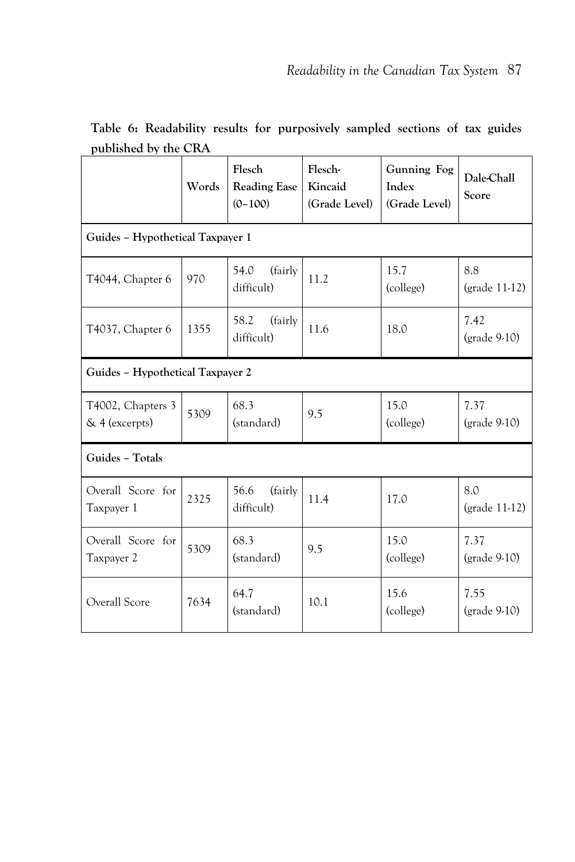| published by the CRA                |       |                                            |                                     |                                       |                                          |  |  |  |  |
|-------------------------------------|-------|--------------------------------------------|-------------------------------------|---------------------------------------|------------------------------------------|--|--|--|--|
|                                     | Words | Flesch<br><b>Reading Ease</b><br>$(0-100)$ | Flesch-<br>Kincaid<br>(Grade Level) | Gunning Fog<br>Index<br>(Grade Level) | Dale-Chall<br>Score                      |  |  |  |  |
| Guides - Hypothetical Taxpayer 1    |       |                                            |                                     |                                       |                                          |  |  |  |  |
| T4044, Chapter 6                    | 970   | (fairly<br>54.0<br>difficult)              | 11.2                                | 15.7<br>(college)                     | 8.8<br>$\left(\text{grade }11-12\right)$ |  |  |  |  |
| T4037, Chapter 6                    | 1355  | 58.2<br>(fairly)<br>difficult)             | 11.6                                | 18.0                                  | 7.42<br>$(grade 9-10)$                   |  |  |  |  |
| Guides - Hypothetical Taxpayer 2    |       |                                            |                                     |                                       |                                          |  |  |  |  |
| T4002, Chapters 3<br>& 4 (excerpts) | 5309  | 68.3<br>(standard)                         | 9.5                                 | 15.0<br>(college)                     | 7.37<br>$(grade 9-10)$                   |  |  |  |  |
| Guides - Totals                     |       |                                            |                                     |                                       |                                          |  |  |  |  |
| Overall Score for<br>Taxpayer 1     | 2325  | 56.6<br>(fairly)<br>difficult)             | 11.4                                | 17.0                                  | 8.0<br>(grade 11-12)                     |  |  |  |  |
| Overall Score for<br>Taxpayer 2     | 5309  | 68.3<br>(standard)                         | 9.5                                 | 15.0<br>(college)                     | 7.37<br>(grade 9-10)                     |  |  |  |  |
| Overall Score                       | 7634  | 64.7<br>(standard)                         | 10.1                                | 15.6<br>(college)                     | 7.55<br>$(grade 9-10)$                   |  |  |  |  |

**Table 6: Readability results for purposively sampled sections of tax guides published by the CRA**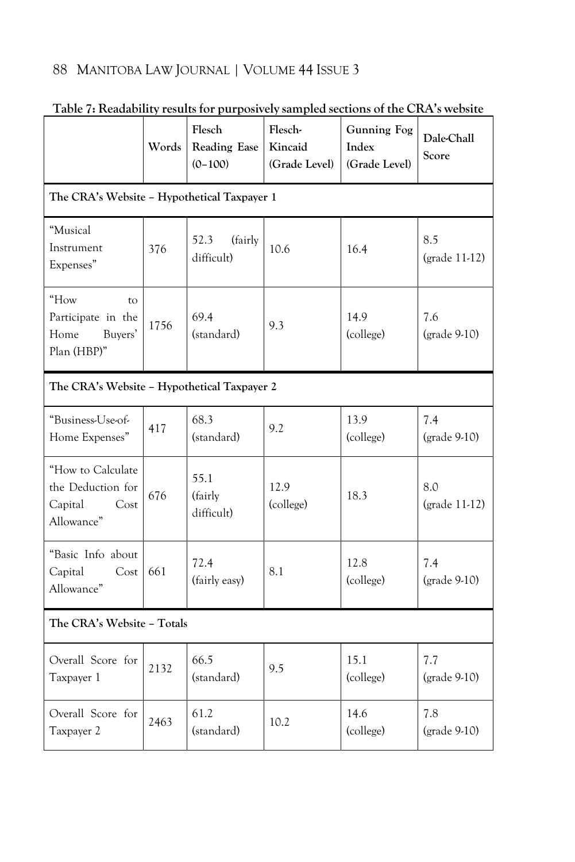|                                                                         | Words | Flesch<br><b>Reading Ease</b><br>$(0-100)$     | Flesch-<br>Kincaid<br>(Grade Level) | <b>Gunning Fog</b><br>Index<br>(Grade Level) | Dale-Chall<br>Score   |  |  |  |  |  |
|-------------------------------------------------------------------------|-------|------------------------------------------------|-------------------------------------|----------------------------------------------|-----------------------|--|--|--|--|--|
| The CRA's Website - Hypothetical Taxpayer 1                             |       |                                                |                                     |                                              |                       |  |  |  |  |  |
| "Musical<br>Instrument<br>Expenses"                                     | 376   | 52.3<br>(fairly<br>difficult)                  | 10.6                                | 16.4                                         |                       |  |  |  |  |  |
| "How<br>to<br>Participate in the<br>Buyers'<br>Home<br>Plan (HBP)"      | 1756  | 69.4<br>14.9<br>9.3<br>(college)<br>(standard) |                                     | 7.6<br>$(grade 9-10)$                        |                       |  |  |  |  |  |
| The CRA's Website - Hypothetical Taxpayer 2                             |       |                                                |                                     |                                              |                       |  |  |  |  |  |
| "Business-Use-of-<br>Home Expenses"                                     | 417   | 68.3<br>(standard)                             | 13.9<br>9.2<br>(college)            |                                              | 7.4<br>$(grade 9-10)$ |  |  |  |  |  |
| "How to Calculate<br>the Deduction for<br>Capital<br>Cost<br>Allowance" | 676   | 55.1<br>(fairly<br>difficult)                  | 12.9<br>(college)                   | 18.3                                         | 8.0<br>(grade 11-12)  |  |  |  |  |  |
| "Basic Info about<br>Capital<br>Cost<br>Allowance"                      | 661   | 72.4<br>(fairly easy)                          | 8.1                                 | 12.8<br>(college)                            | 7.4<br>(grade 9-10)   |  |  |  |  |  |
| The CRA's Website - Totals                                              |       |                                                |                                     |                                              |                       |  |  |  |  |  |
| Overall Score for<br>Taxpayer 1                                         | 2132  | 66.5<br>(standard)                             | 9.5                                 | 15.1<br>(college)                            | 7.7<br>$(grade 9-10)$ |  |  |  |  |  |
| Overall Score for<br>Taxpayer 2                                         | 2463  | 61.2<br>(standard)                             | 10.2                                | 14.6<br>(college)                            | 7.8<br>$(grade 9-10)$ |  |  |  |  |  |

### **Table 7: Readability results for purposively sampled sections of the CRA's website**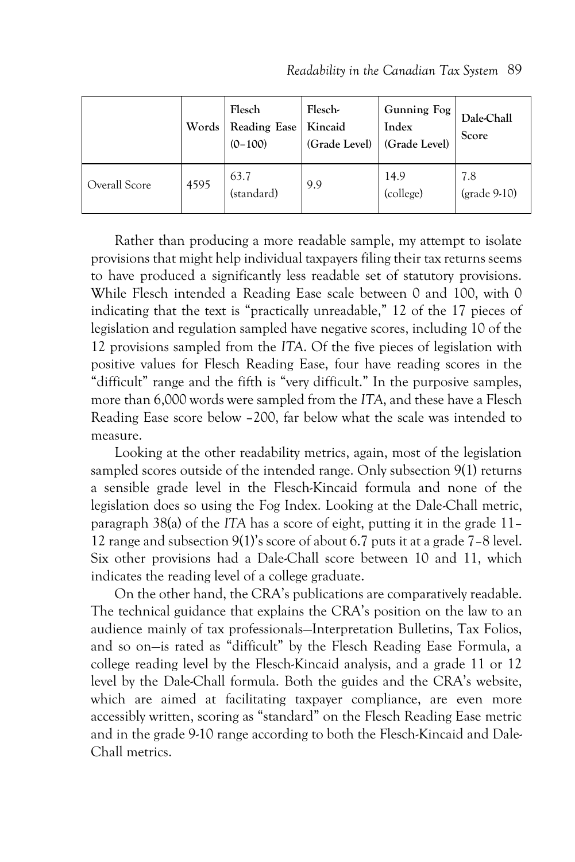|               | Words | Flesch<br>Reading Ease<br>$(0-100)$ | Flesch-<br>Kincaid<br>(Grade Level) | Gunning Fog<br>Index<br>(Grade Level) | Dale-Chall<br>Score |
|---------------|-------|-------------------------------------|-------------------------------------|---------------------------------------|---------------------|
| Overall Score | 4595  | 63.7<br>(standard)                  | 9.9                                 | 14.9<br>(college)                     | 7.8<br>(grade 9-10) |

Rather than producing a more readable sample, my attempt to isolate provisions that might help individual taxpayers filing their tax returns seems to have produced a significantly less readable set of statutory provisions. While Flesch intended a Reading Ease scale between 0 and 100, with 0 indicating that the text is "practically unreadable," 12 of the 17 pieces of legislation and regulation sampled have negative scores, including 10 of the 12 provisions sampled from the *ITA*. Of the five pieces of legislation with positive values for Flesch Reading Ease, four have reading scores in the "difficult" range and the fifth is "very difficult." In the purposive samples, more than 6,000 words were sampled from the *ITA*, and these have a Flesch Reading Ease score below –200, far below what the scale was intended to measure.

Looking at the other readability metrics, again, most of the legislation sampled scores outside of the intended range. Only subsection 9(1) returns a sensible grade level in the Flesch-Kincaid formula and none of the legislation does so using the Fog Index. Looking at the Dale-Chall metric, paragraph 38(a) of the *ITA* has a score of eight, putting it in the grade 11– 12 range and subsection 9(1)'s score of about 6.7 puts it at a grade 7–8 level. Six other provisions had a Dale-Chall score between 10 and 11, which indicates the reading level of a college graduate.

On the other hand, the CRA's publications are comparatively readable. The technical guidance that explains the CRA's position on the law to an audience mainly of tax professionals—Interpretation Bulletins, Tax Folios, and so on—is rated as "difficult" by the Flesch Reading Ease Formula, a college reading level by the Flesch-Kincaid analysis, and a grade 11 or 12 level by the Dale-Chall formula. Both the guides and the CRA's website, which are aimed at facilitating taxpayer compliance, are even more accessibly written, scoring as "standard" on the Flesch Reading Ease metric and in the grade 9-10 range according to both the Flesch-Kincaid and Dale-Chall metrics.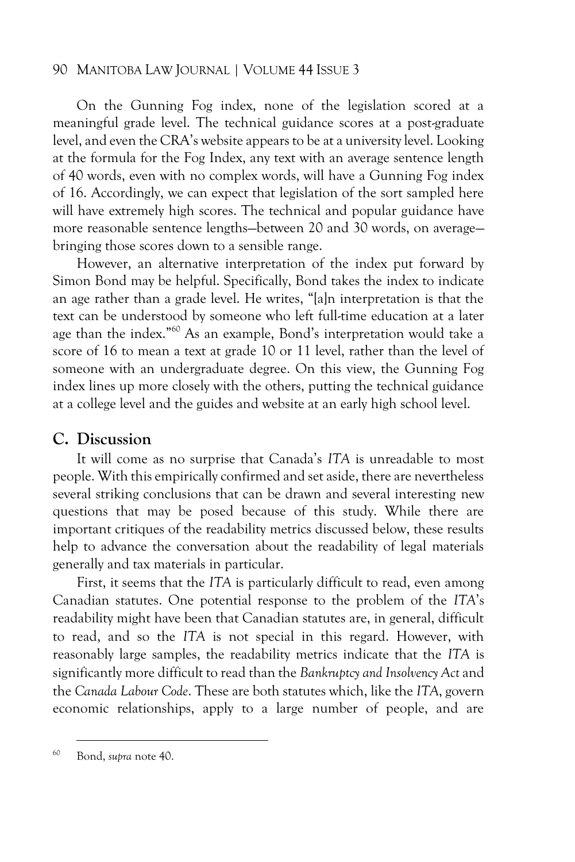On the Gunning Fog index, none of the legislation scored at a meaningful grade level. The technical guidance scores at a post-graduate level, and even the CRA's website appears to be at a university level. Looking at the formula for the Fog Index, any text with an average sentence length of 40 words, even with no complex words, will have a Gunning Fog index of 16. Accordingly, we can expect that legislation of the sort sampled here will have extremely high scores. The technical and popular guidance have more reasonable sentence lengths—between 20 and 30 words, on average bringing those scores down to a sensible range.

However, an alternative interpretation of the index put forward by Simon Bond may be helpful. Specifically, Bond takes the index to indicate an age rather than a grade level. He writes, "[a]n interpretation is that the text can be understood by someone who left full-time education at a later age than the index."<sup>60</sup> As an example, Bond's interpretation would take a score of 16 to mean a text at grade 10 or 11 level, rather than the level of someone with an undergraduate degree. On this view, the Gunning Fog index lines up more closely with the others, putting the technical guidance at a college level and the guides and website at an early high school level.

#### **C. Discussion**

It will come as no surprise that Canada's *ITA* is unreadable to most people. With this empirically confirmed and set aside, there are nevertheless several striking conclusions that can be drawn and several interesting new questions that may be posed because of this study. While there are important critiques of the readability metrics discussed below, these results help to advance the conversation about the readability of legal materials generally and tax materials in particular.

First, it seems that the *ITA* is particularly difficult to read, even among Canadian statutes. One potential response to the problem of the *ITA*'s readability might have been that Canadian statutes are, in general, difficult to read, and so the *ITA* is not special in this regard. However, with reasonably large samples, the readability metrics indicate that the *ITA* is significantly more difficult to read than the *Bankruptcy and Insolvency Act* and the *Canada Labour Code*. These are both statutes which, like the *ITA*, govern economic relationships, apply to a large number of people, and are

<sup>60</sup> Bond, *supra* note 40.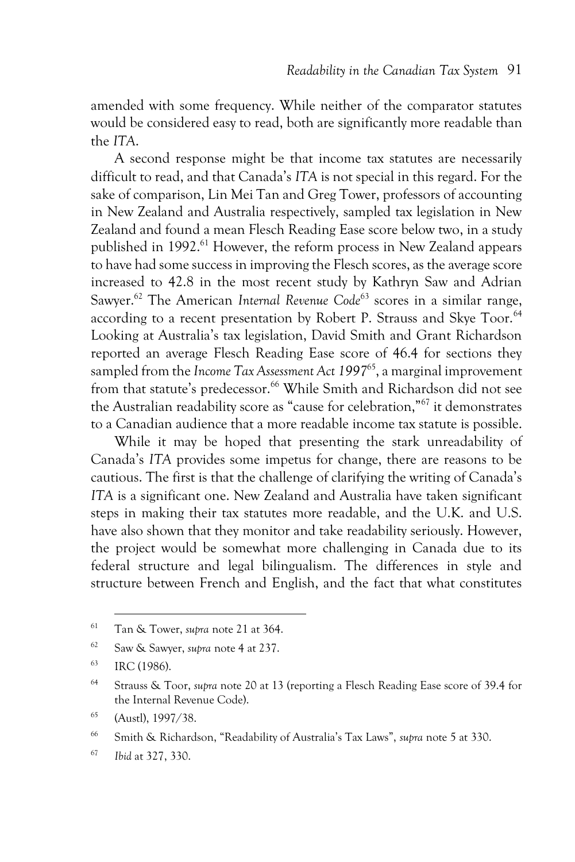amended with some frequency. While neither of the comparator statutes would be considered easy to read, both are significantly more readable than the *ITA*.

A second response might be that income tax statutes are necessarily difficult to read, and that Canada's *ITA* is not special in this regard. For the sake of comparison, Lin Mei Tan and Greg Tower, professors of accounting in New Zealand and Australia respectively, sampled tax legislation in New Zealand and found a mean Flesch Reading Ease score below two, in a study published in 1992.<sup>61</sup> However, the reform process in New Zealand appears to have had some success in improving the Flesch scores, as the average score increased to 42.8 in the most recent study by Kathryn Saw and Adrian Sawyer.<sup>62</sup> The American *Internal Revenue Code*<sup>63</sup> scores in a similar range, according to a recent presentation by Robert P. Strauss and Skye Toor.<sup>64</sup> Looking at Australia's tax legislation, David Smith and Grant Richardson reported an average Flesch Reading Ease score of 46.4 for sections they sampled from the *Income Tax Assessment Act 1997*<sup>65</sup>, a marginal improvement from that statute's predecessor.<sup>66</sup> While Smith and Richardson did not see the Australian readability score as "cause for celebration,"<sup>67</sup> it demonstrates to a Canadian audience that a more readable income tax statute is possible.

While it may be hoped that presenting the stark unreadability of Canada's *ITA* provides some impetus for change, there are reasons to be cautious. The first is that the challenge of clarifying the writing of Canada's *ITA* is a significant one. New Zealand and Australia have taken significant steps in making their tax statutes more readable, and the U.K. and U.S. have also shown that they monitor and take readability seriously. However, the project would be somewhat more challenging in Canada due to its federal structure and legal bilingualism. The differences in style and structure between French and English, and the fact that what constitutes

<sup>61</sup> Tan & Tower, *supra* note 21 at 364.

<sup>62</sup> Saw & Sawyer, *supra* note 4 at 237.

<sup>63</sup> IRC (1986).

<sup>64</sup> Strauss & Toor, *supra* note 20 at 13 (reporting a Flesch Reading Ease score of 39.4 for the Internal Revenue Code).

<sup>65</sup> (Austl), 1997/38.

<sup>66</sup> Smith & Richardson, "Readability of Australia's Tax Laws", *supra* note 5 at 330.

<sup>67</sup> *Ibid* at 327, 330.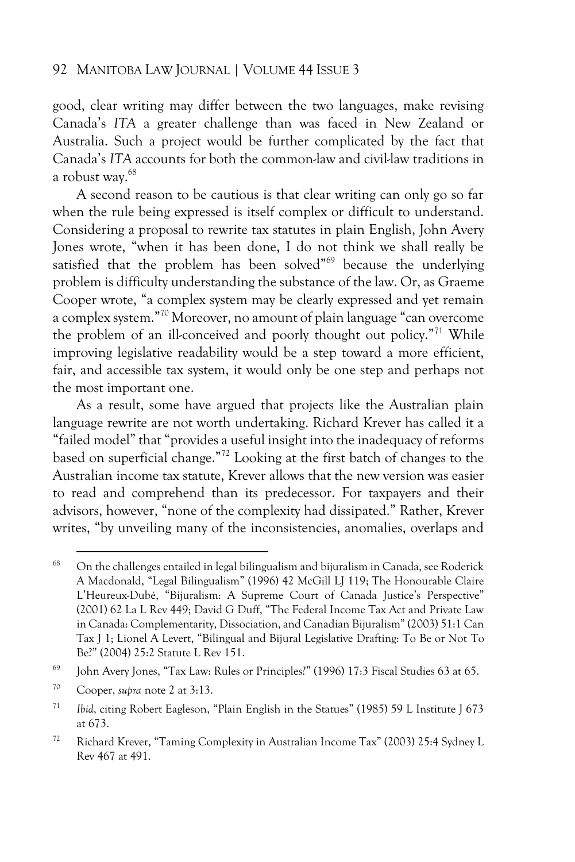good, clear writing may differ between the two languages, make revising Canada's *ITA* a greater challenge than was faced in New Zealand or Australia. Such a project would be further complicated by the fact that Canada's *ITA* accounts for both the common-law and civil-law traditions in a robust way.<sup>68</sup>

A second reason to be cautious is that clear writing can only go so far when the rule being expressed is itself complex or difficult to understand. Considering a proposal to rewrite tax statutes in plain English, John Avery Jones wrote, "when it has been done, I do not think we shall really be satisfied that the problem has been solved"<sup>69</sup> because the underlying problem is difficulty understanding the substance of the law. Or, as Graeme Cooper wrote, "a complex system may be clearly expressed and yet remain a complex system."<sup>70</sup> Moreover, no amount of plain language "can overcome the problem of an ill-conceived and poorly thought out policy."<sup>71</sup> While improving legislative readability would be a step toward a more efficient, fair, and accessible tax system, it would only be one step and perhaps not the most important one.

As a result, some have argued that projects like the Australian plain language rewrite are not worth undertaking. Richard Krever has called it a "failed model" that "provides a useful insight into the inadequacy of reforms based on superficial change."<sup>72</sup> Looking at the first batch of changes to the Australian income tax statute, Krever allows that the new version was easier to read and comprehend than its predecessor. For taxpayers and their advisors, however, "none of the complexity had dissipated." Rather, Krever writes, "by unveiling many of the inconsistencies, anomalies, overlaps and

 $68$  On the challenges entailed in legal bilingualism and bijuralism in Canada, see Roderick A Macdonald, "Legal Bilingualism" (1996) 42 McGill LJ 119; The Honourable Claire L'Heureux-Dubé, "Bijuralism: A Supreme Court of Canada Justice's Perspective" (2001) 62 La L Rev 449; David G Duff, "The Federal Income Tax Act and Private Law in Canada: Complementarity, Dissociation, and Canadian Bijuralism" (2003) 51:1 Can Tax J 1; Lionel A Levert, "Bilingual and Bijural Legislative Drafting: To Be or Not To Be?" (2004) 25:2 Statute L Rev 151.

<sup>69</sup> John Avery Jones, "Tax Law: Rules or Principles?" (1996) 17:3 Fiscal Studies 63 at 65.

<sup>70</sup> Cooper, *supra* note 2 at 3:13.

<sup>71</sup> *Ibid*, citing Robert Eagleson, "Plain English in the Statues" (1985) 59 L Institute J 673 at 673.

<sup>72</sup> Richard Krever, "Taming Complexity in Australian Income Tax" (2003) 25:4 Sydney L Rev 467 at 491.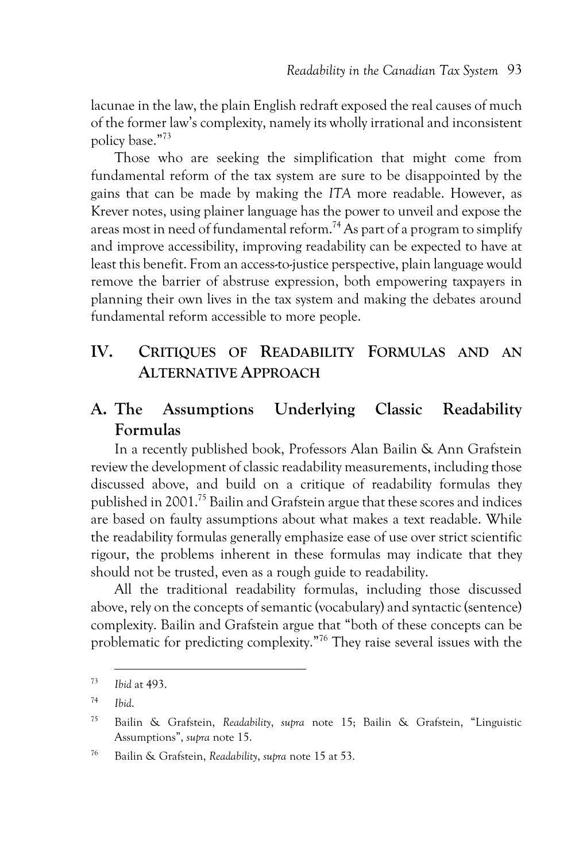lacunae in the law, the plain English redraft exposed the real causes of much of the former law's complexity, namely its wholly irrational and inconsistent policy base."<sup>73</sup>

Those who are seeking the simplification that might come from fundamental reform of the tax system are sure to be disappointed by the gains that can be made by making the *ITA* more readable. However, as Krever notes, using plainer language has the power to unveil and expose the areas most in need of fundamental reform.<sup>74</sup> As part of a program to simplify and improve accessibility, improving readability can be expected to have at least this benefit. From an access-to-justice perspective, plain language would remove the barrier of abstruse expression, both empowering taxpayers in planning their own lives in the tax system and making the debates around fundamental reform accessible to more people.

### **IV. CRITIQUES OF READABILITY FORMULAS AND AN ALTERNATIVE APPROACH**

# **A. The Assumptions Underlying Classic Readability Formulas**

In a recently published book, Professors Alan Bailin & Ann Grafstein review the development of classic readability measurements, including those discussed above, and build on a critique of readability formulas they published in 2001.<sup>75</sup> Bailin and Grafstein argue that these scores and indices are based on faulty assumptions about what makes a text readable. While the readability formulas generally emphasize ease of use over strict scientific rigour, the problems inherent in these formulas may indicate that they should not be trusted, even as a rough guide to readability.

All the traditional readability formulas, including those discussed above, rely on the concepts of semantic (vocabulary) and syntactic (sentence) complexity. Bailin and Grafstein argue that "both of these concepts can be problematic for predicting complexity."<sup>76</sup> They raise several issues with the

<sup>73</sup> *Ibid* at 493.

<sup>74</sup> *Ibid*.

<sup>75</sup> Bailin & Grafstein, *Readability*, *supra* note 15; Bailin & Grafstein, "Linguistic Assumptions", *supra* note 15.

<sup>76</sup> Bailin & Grafstein, *Readability*, *supra* note 15 at 53.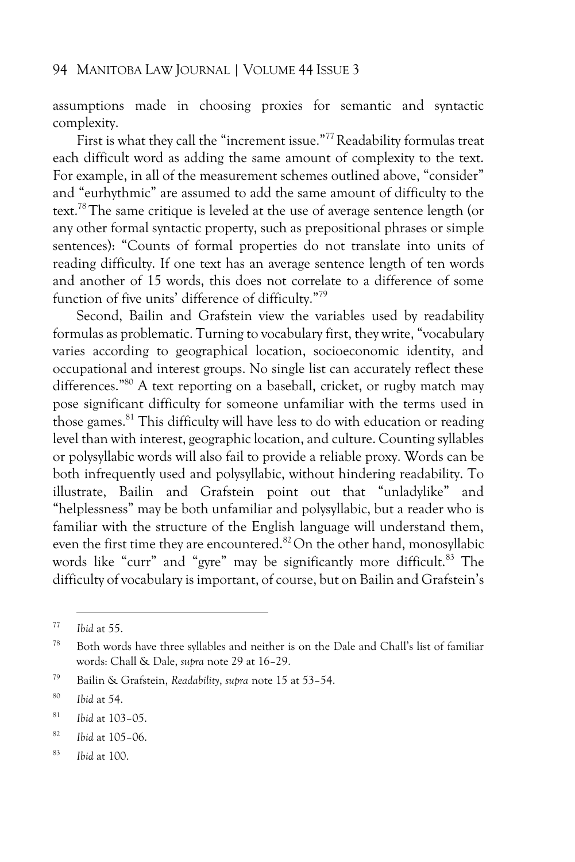assumptions made in choosing proxies for semantic and syntactic complexity.

First is what they call the "increment issue."<sup>77</sup> Readability formulas treat each difficult word as adding the same amount of complexity to the text. For example, in all of the measurement schemes outlined above, "consider" and "eurhythmic" are assumed to add the same amount of difficulty to the text.<sup>78</sup> The same critique is leveled at the use of average sentence length (or any other formal syntactic property, such as prepositional phrases or simple sentences): "Counts of formal properties do not translate into units of reading difficulty. If one text has an average sentence length of ten words and another of 15 words, this does not correlate to a difference of some function of five units' difference of difficulty."<sup>79</sup>

Second, Bailin and Grafstein view the variables used by readability formulas as problematic. Turning to vocabulary first, they write, "vocabulary varies according to geographical location, socioeconomic identity, and occupational and interest groups. No single list can accurately reflect these differences."<sup>80</sup> A text reporting on a baseball, cricket, or rugby match may pose significant difficulty for someone unfamiliar with the terms used in those games.<sup>81</sup> This difficulty will have less to do with education or reading level than with interest, geographic location, and culture. Counting syllables or polysyllabic words will also fail to provide a reliable proxy. Words can be both infrequently used and polysyllabic, without hindering readability. To illustrate, Bailin and Grafstein point out that "unladylike" and "helplessness" may be both unfamiliar and polysyllabic, but a reader who is familiar with the structure of the English language will understand them, even the first time they are encountered.<sup>82</sup>On the other hand, monosyllabic words like "curr" and "gyre" may be significantly more difficult.<sup>83</sup> The difficulty of vocabulary is important, of course, but on Bailin and Grafstein's

<sup>77</sup> *Ibid* at 55.

<sup>78</sup> Both words have three syllables and neither is on the Dale and Chall's list of familiar words: Chall & Dale, *supra* note 29 at 16–29.

<sup>79</sup> Bailin & Grafstein, *Readability*, *supra* note 15 at 53–54.

<sup>80</sup> *Ibid* at 54.

<sup>81</sup> *Ibid* at 103–05.

<sup>82</sup> *Ibid* at 105–06.

<sup>83</sup> *Ibid* at 100.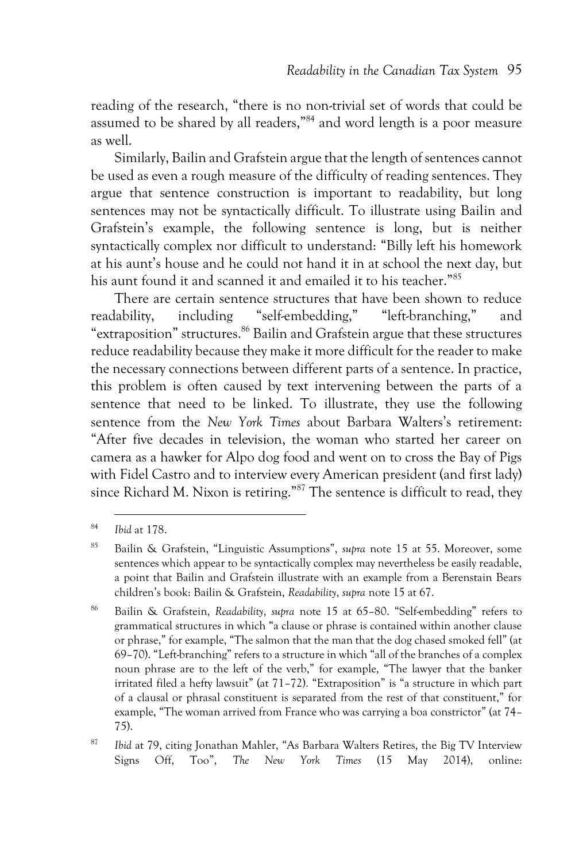reading of the research, "there is no non-trivial set of words that could be assumed to be shared by all readers,"<sup>84</sup> and word length is a poor measure as well.

Similarly, Bailin and Grafstein argue that the length of sentences cannot be used as even a rough measure of the difficulty of reading sentences. They argue that sentence construction is important to readability, but long sentences may not be syntactically difficult. To illustrate using Bailin and Grafstein's example, the following sentence is long, but is neither syntactically complex nor difficult to understand: "Billy left his homework at his aunt's house and he could not hand it in at school the next day, but his aunt found it and scanned it and emailed it to his teacher."<sup>85</sup>

There are certain sentence structures that have been shown to reduce readability, including "self-embedding," "left-branching," and "extraposition" structures.<sup>86</sup> Bailin and Grafstein argue that these structures reduce readability because they make it more difficult for the reader to make the necessary connections between different parts of a sentence. In practice, this problem is often caused by text intervening between the parts of a sentence that need to be linked. To illustrate, they use the following sentence from the *New York Times* about Barbara Walters's retirement: "After five decades in television, the woman who started her career on camera as a hawker for Alpo dog food and went on to cross the Bay of Pigs with Fidel Castro and to interview every American president (and first lady) since Richard M. Nixon is retiring."<sup>87</sup> The sentence is difficult to read, they

<sup>86</sup> Bailin & Grafstein, *Readability*, *supra* note 15 at 65–80. "Self-embedding" refers to grammatical structures in which "a clause or phrase is contained within another clause or phrase," for example, "The salmon that the man that the dog chased smoked fell" (at 69–70). "Left-branching" refers to a structure in which "all of the branches of a complex noun phrase are to the left of the verb," for example, "The lawyer that the banker irritated filed a hefty lawsuit" (at 71–72). "Extraposition" is "a structure in which part of a clausal or phrasal constituent is separated from the rest of that constituent," for example, "The woman arrived from France who was carrying a boa constrictor" (at 74– 75).

<sup>87</sup> *Ibid* at 79, citing Jonathan Mahler, "As Barbara Walters Retires, the Big TV Interview Signs Off, Too", *The New York Times* (15 May 2014), online:

<sup>84</sup> *Ibid* at 178.

<sup>85</sup> Bailin & Grafstein, "Linguistic Assumptions", *supra* note 15 at 55. Moreover, some sentences which appear to be syntactically complex may nevertheless be easily readable, a point that Bailin and Grafstein illustrate with an example from a Berenstain Bears children's book: Bailin & Grafstein, *Readability*, *supra* note 15 at 67.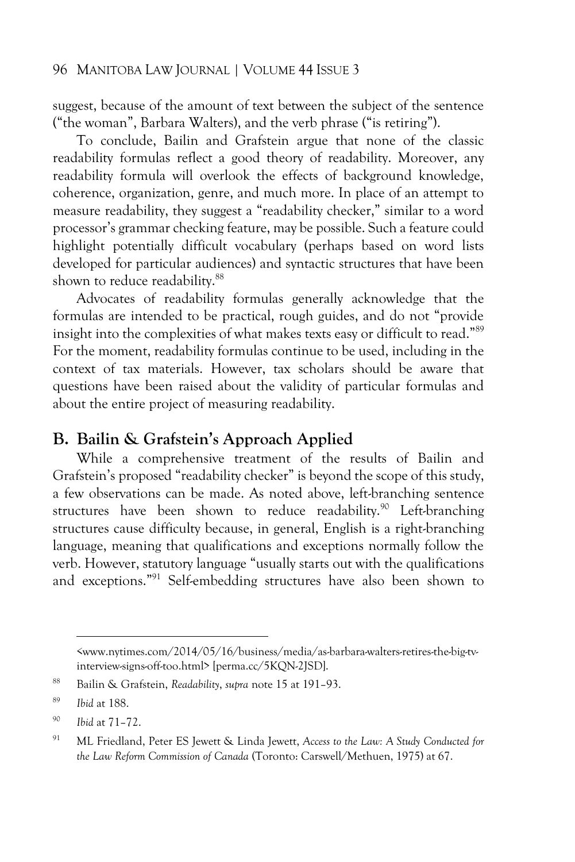suggest, because of the amount of text between the subject of the sentence ("the woman", Barbara Walters), and the verb phrase ("is retiring").

To conclude, Bailin and Grafstein argue that none of the classic readability formulas reflect a good theory of readability. Moreover, any readability formula will overlook the effects of background knowledge, coherence, organization, genre, and much more. In place of an attempt to measure readability, they suggest a "readability checker," similar to a word processor's grammar checking feature, may be possible. Such a feature could highlight potentially difficult vocabulary (perhaps based on word lists developed for particular audiences) and syntactic structures that have been shown to reduce readability.<sup>88</sup>

Advocates of readability formulas generally acknowledge that the formulas are intended to be practical, rough guides, and do not "provide insight into the complexities of what makes texts easy or difficult to read."<sup>89</sup> For the moment, readability formulas continue to be used, including in the context of tax materials. However, tax scholars should be aware that questions have been raised about the validity of particular formulas and about the entire project of measuring readability.

### **B. Bailin & Grafstein's Approach Applied**

While a comprehensive treatment of the results of Bailin and Grafstein's proposed "readability checker" is beyond the scope of this study, a few observations can be made. As noted above, left-branching sentence structures have been shown to reduce readability.<sup>90</sup> Left-branching structures cause difficulty because, in general, English is a right-branching language, meaning that qualifications and exceptions normally follow the verb. However, statutory language "usually starts out with the qualifications and exceptions."<sup>91</sup> Self-embedding structures have also been shown to

<span id="page-34-0"></span><sup>&</sup>lt;www.nytimes.com/2014/05/16/business/media/as-barbara-walters-retires-the-big-tvinterview-signs-off-too.html> [perma.cc/5KQN-2JSD].

<sup>88</sup> Bailin & Grafstein, *Readability*, *supra* note 15 at 191–93.

<sup>89</sup> *Ibid* at 188.

<sup>90</sup> *Ibid* at 71–72.

<sup>91</sup> ML Friedland, Peter ES Jewett & Linda Jewett, *Access to the Law: A Study Conducted for the Law Reform Commission of Canada* (Toronto: Carswell/Methuen, 1975) at 67.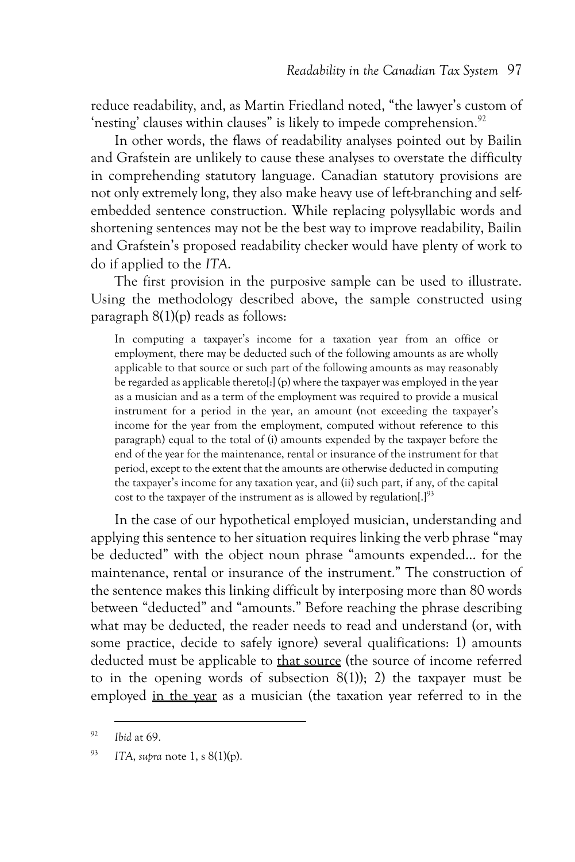reduce readability, and, as Martin Friedland noted, "the lawyer's custom of 'nesting' clauses within clauses" is likely to impede comprehension.<sup>92</sup>

In other words, the flaws of readability analyses pointed out by Bailin and Grafstein are unlikely to cause these analyses to overstate the difficulty in comprehending statutory language. Canadian statutory provisions are not only extremely long, they also make heavy use of left-branching and selfembedded sentence construction. While replacing polysyllabic words and shortening sentences may not be the best way to improve readability, Bailin and Grafstein's proposed readability checker would have plenty of work to do if applied to the *ITA*.

The first provision in the purposive sample can be used to illustrate. Using the methodology described above, the sample constructed using paragraph 8(1)(p) reads as follows:

In computing a taxpayer's income for a taxation year from an office or employment, there may be deducted such of the following amounts as are wholly applicable to that source or such part of the following amounts as may reasonably be regarded as applicable thereto[:] (p) where the taxpayer was employed in the year as a musician and as a term of the employment was required to provide a musical instrument for a period in the year, an amount (not exceeding the taxpayer's income for the year from the employment, computed without reference to this paragraph) equal to the total of (i) amounts expended by the taxpayer before the end of the year for the maintenance, rental or insurance of the instrument for that period, except to the extent that the amounts are otherwise deducted in computing the taxpayer's income for any taxation year, and (ii) such part, if any, of the capital cost to the taxpayer of the instrument as is allowed by regulation[.]<sup>93</sup>

In the case of our hypothetical employed musician, understanding and applying this sentence to her situation requires linking the verb phrase "may be deducted" with the object noun phrase "amounts expended… for the maintenance, rental or insurance of the instrument." The construction of the sentence makes this linking difficult by interposing more than 80 words between "deducted" and "amounts." Before reaching the phrase describing what may be deducted, the reader needs to read and understand (or, with some practice, decide to safely ignore) several qualifications: 1) amounts deducted must be applicable to that source (the source of income referred to in the opening words of subsection  $8(1)$ ; 2) the taxpayer must be employed in the year as a musician (the taxation year referred to in the

<sup>92</sup> *Ibid* at 69.

<sup>93</sup> *ITA*, *supra* note 1, s 8(1)(p).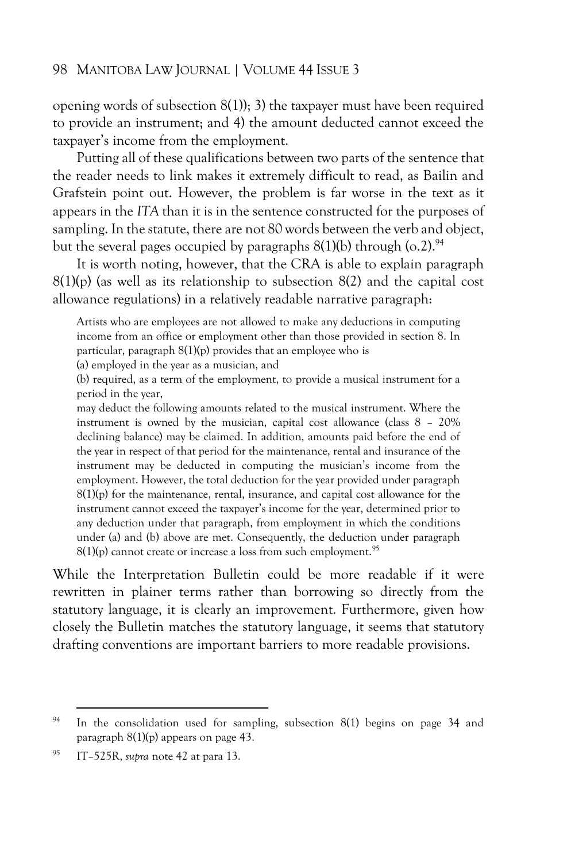opening words of subsection 8(1)); 3) the taxpayer must have been required to provide an instrument; and 4) the amount deducted cannot exceed the taxpayer's income from the employment.

Putting all of these qualifications between two parts of the sentence that the reader needs to link makes it extremely difficult to read, as Bailin and Grafstein point out. However, the problem is far worse in the text as it appears in the *ITA* than it is in the sentence constructed for the purposes of sampling. In the statute, there are not 80 words between the verb and object, but the several pages occupied by paragraphs  $8(1)(b)$  through  $(0.2)$ .<sup>94</sup>

It is worth noting, however, that the CRA is able to explain paragraph 8(1)(p) (as well as its relationship to subsection 8(2) and the capital cost allowance regulations) in a relatively readable narrative paragraph:

Artists who are employees are not allowed to make any deductions in computing income from an office or employment other than those provided in section 8. In particular, paragraph 8(1)(p) provides that an employee who is

(a) employed in the year as a musician, and

(b) required, as a term of the employment, to provide a musical instrument for a period in the year,

may deduct the following amounts related to the musical instrument. Where the instrument is owned by the musician, capital cost allowance (class 8 – 20% declining balance) may be claimed. In addition, amounts paid before the end of the year in respect of that period for the maintenance, rental and insurance of the instrument may be deducted in computing the musician's income from the employment. However, the total deduction for the year provided under paragraph  $8(1)(p)$  for the maintenance, rental, insurance, and capital cost allowance for the instrument cannot exceed the taxpayer's income for the year, determined prior to any deduction under that paragraph, from employment in which the conditions under (a) and (b) above are met. Consequently, the deduction under paragraph  $8(1)(p)$  cannot create or increase a loss from such employment.<sup>95</sup>

While the Interpretation Bulletin could be more readable if it were rewritten in plainer terms rather than borrowing so directly from the statutory language, it is clearly an improvement. Furthermore, given how closely the Bulletin matches the statutory language, it seems that statutory drafting conventions are important barriers to more readable provisions.

<sup>&</sup>lt;sup>94</sup> In the consolidation used for sampling, subsection  $8(1)$  begins on page 34 and paragraph 8(1)(p) appears on page 43.

<sup>95</sup> IT–525R, *supra* note 42 at para 13.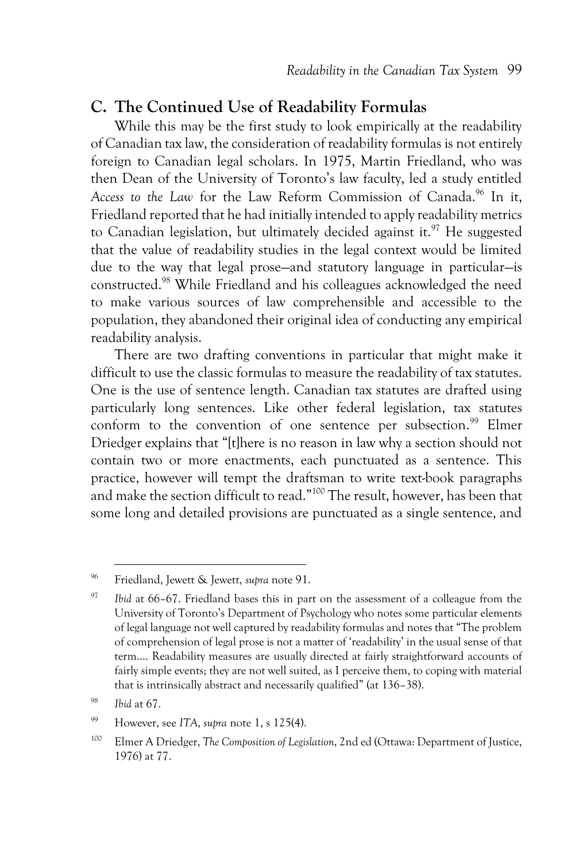### **C. The Continued Use of Readability Formulas**

While this may be the first study to look empirically at the readability of Canadian tax law, the consideration of readability formulas is not entirely foreign to Canadian legal scholars. In 1975, Martin Friedland, who was then Dean of the University of Toronto's law faculty, led a study entitled Access to the Law for the Law Reform Commission of Canada.<sup>96</sup> In it, Friedland reported that he had initially intended to apply readability metrics to Canadian legislation, but ultimately decided against it.<sup>97</sup> He suggested that the value of readability studies in the legal context would be limited due to the way that legal prose—and statutory language in particular—is constructed.<sup>98</sup> While Friedland and his colleagues acknowledged the need to make various sources of law comprehensible and accessible to the population, they abandoned their original idea of conducting any empirical readability analysis.

There are two drafting conventions in particular that might make it difficult to use the classic formulas to measure the readability of tax statutes. One is the use of sentence length. Canadian tax statutes are drafted using particularly long sentences. Like other federal legislation, tax statutes conform to the convention of one sentence per subsection.<sup>99</sup> Elmer Driedger explains that "[t]here is no reason in law why a section should not contain two or more enactments, each punctuated as a sentence. This practice, however will tempt the draftsman to write text-book paragraphs and make the section difficult to read."<sup>100</sup> The result, however, has been that some long and detailed provisions are punctuated as a single sentence, and

<sup>96</sup> Friedland, Jewett & Jewett, *supra* not[e 91.](#page-34-0)

<sup>97</sup> *Ibid* at 66–67. Friedland bases this in part on the assessment of a colleague from the University of Toronto's Department of Psychology who notes some particular elements of legal language not well captured by readability formulas and notes that "The problem of comprehension of legal prose is not a matter of 'readability' in the usual sense of that term.... Readability measures are usually directed at fairly straightforward accounts of fairly simple events; they are not well suited, as I perceive them, to coping with material that is intrinsically abstract and necessarily qualified" (at 136–38).

<sup>98</sup> *Ibid* at 67.

<sup>99</sup> However, see *ITA*, *supra* note 1, s 125(4).

<sup>100</sup> Elmer A Driedger, *The Composition of Legislation*, 2nd ed (Ottawa: Department of Justice, 1976) at 77.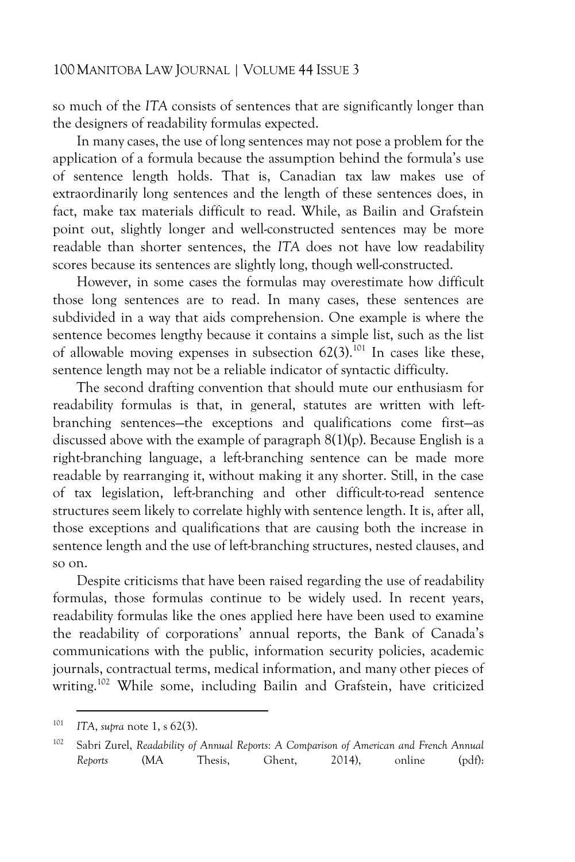so much of the *ITA* consists of sentences that are significantly longer than the designers of readability formulas expected.

In many cases, the use of long sentences may not pose a problem for the application of a formula because the assumption behind the formula's use of sentence length holds. That is, Canadian tax law makes use of extraordinarily long sentences and the length of these sentences does, in fact, make tax materials difficult to read. While, as Bailin and Grafstein point out, slightly longer and well-constructed sentences may be more readable than shorter sentences, the *ITA* does not have low readability scores because its sentences are slightly long, though well-constructed.

However, in some cases the formulas may overestimate how difficult those long sentences are to read. In many cases, these sentences are subdivided in a way that aids comprehension. One example is where the sentence becomes lengthy because it contains a simple list, such as the list of allowable moving expenses in subsection  $62(3)$ .<sup>101</sup> In cases like these, sentence length may not be a reliable indicator of syntactic difficulty.

The second drafting convention that should mute our enthusiasm for readability formulas is that, in general, statutes are written with leftbranching sentences—the exceptions and qualifications come first—as discussed above with the example of paragraph 8(1)(p). Because English is a right-branching language, a left-branching sentence can be made more readable by rearranging it, without making it any shorter. Still, in the case of tax legislation, left-branching and other difficult-to-read sentence structures seem likely to correlate highly with sentence length. It is, after all, those exceptions and qualifications that are causing both the increase in sentence length and the use of left-branching structures, nested clauses, and so on.

Despite criticisms that have been raised regarding the use of readability formulas, those formulas continue to be widely used. In recent years, readability formulas like the ones applied here have been used to examine the readability of corporations' annual reports, the Bank of Canada's communications with the public, information security policies, academic journals, contractual terms, medical information, and many other pieces of writing.<sup>102</sup> While some, including Bailin and Grafstein, have criticized

<span id="page-38-0"></span><sup>101</sup> *ITA*, *supra* note 1, s 62(3).

<sup>102</sup> Sabri Zurel, *Readability of Annual Reports: A Comparison of American and French Annual Reports* (MA Thesis, Ghent, 2014), online (pdf):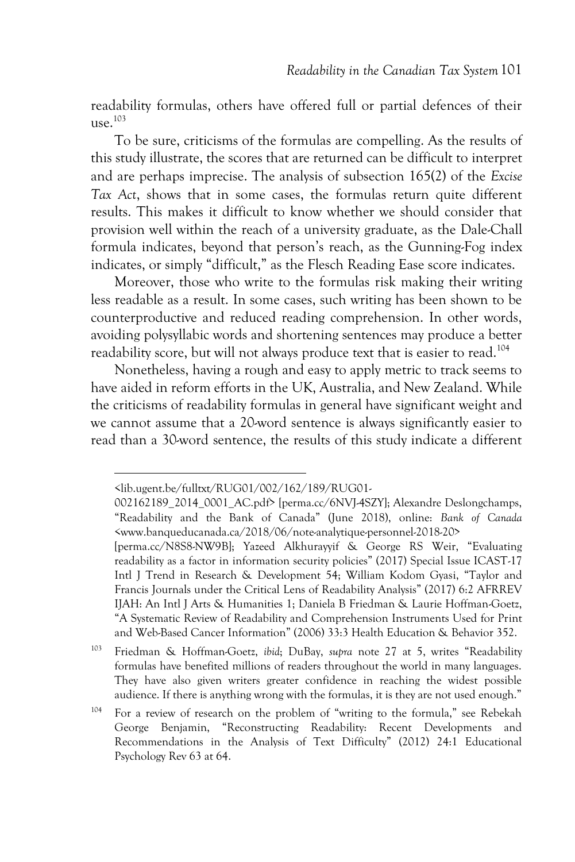readability formulas, others have offered full or partial defences of their use. $103$ 

To be sure, criticisms of the formulas are compelling. As the results of this study illustrate, the scores that are returned can be difficult to interpret and are perhaps imprecise. The analysis of subsection 165(2) of the *Excise Tax Act*, shows that in some cases, the formulas return quite different results. This makes it difficult to know whether we should consider that provision well within the reach of a university graduate, as the Dale-Chall formula indicates, beyond that person's reach, as the Gunning-Fog index indicates, or simply "difficult," as the Flesch Reading Ease score indicates.

Moreover, those who write to the formulas risk making their writing less readable as a result. In some cases, such writing has been shown to be counterproductive and reduced reading comprehension. In other words, avoiding polysyllabic words and shortening sentences may produce a better readability score, but will not always produce text that is easier to read.<sup>104</sup>

Nonetheless, having a rough and easy to apply metric to track seems to have aided in reform efforts in the UK, Australia, and New Zealand. While the criticisms of readability formulas in general have significant weight and we cannot assume that a 20-word sentence is always significantly easier to read than a 30-word sentence, the results of this study indicate a different

<sup>103</sup> Friedman & Hoffman-Goetz, *ibid*; DuBay, *supra* note 27 at 5, writes "Readability formulas have benefited millions of readers throughout the world in many languages. They have also given writers greater confidence in reaching the widest possible audience. If there is anything wrong with the formulas, it is they are not used enough."

<span id="page-39-0"></span><sup>&</sup>lt;lib.ugent.be/fulltxt/RUG01/002/162/189/RUG01-

<sup>002162189</sup>\_2014\_0001\_AC.pdf> [perma.cc/6NVJ-4SZY]; Alexandre Deslongchamps, "Readability and the Bank of Canada" (June 2018), online: *Bank of Canada*  <www.banqueducanada.ca/2018/06/note-analytique-personnel-2018-20>

<sup>[</sup>perma.cc/N8S8-NW9B]; Yazeed Alkhurayyif & George RS Weir, "Evaluating readability as a factor in information security policies" (2017) Special Issue ICAST-17 Intl J Trend in Research & Development 54; William Kodom Gyasi, "Taylor and Francis Journals under the Critical Lens of Readability Analysis" (2017) 6:2 AFRREV IJAH: An Intl J Arts & Humanities 1; Daniela B Friedman & Laurie Hoffman-Goetz, "A Systematic Review of Readability and Comprehension Instruments Used for Print and Web-Based Cancer Information" (2006) 33:3 Health Education & Behavior 352.

<sup>104</sup> For a review of research on the problem of "writing to the formula," see Rebekah George Benjamin, "Reconstructing Readability: Recent Developments and Recommendations in the Analysis of Text Difficulty" (2012) 24:1 Educational Psychology Rev 63 at 64.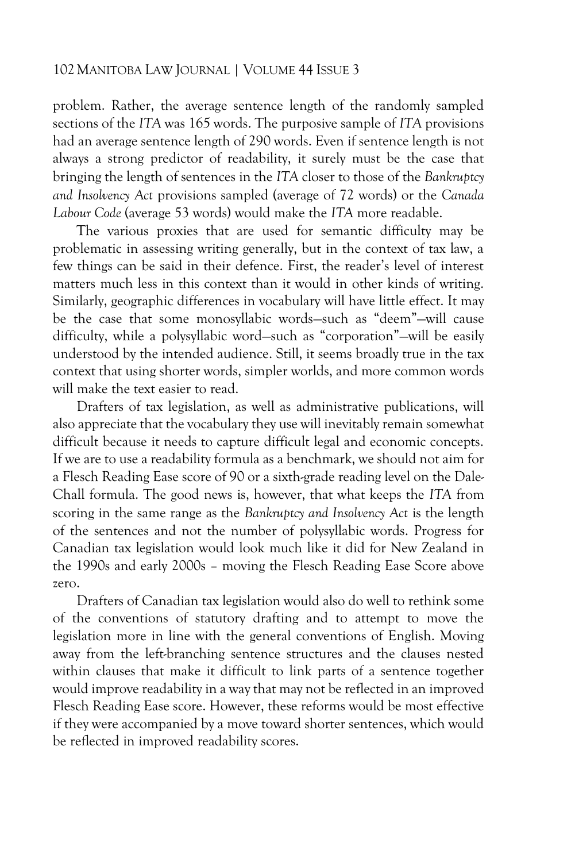problem. Rather, the average sentence length of the randomly sampled sections of the *ITA* was 165 words. The purposive sample of *ITA* provisions had an average sentence length of 290 words. Even if sentence length is not always a strong predictor of readability, it surely must be the case that bringing the length of sentences in the *ITA* closer to those of the *Bankruptcy and Insolvency Act* provisions sampled (average of 72 words) or the *Canada Labour Code* (average 53 words) would make the *ITA* more readable.

The various proxies that are used for semantic difficulty may be problematic in assessing writing generally, but in the context of tax law, a few things can be said in their defence. First, the reader's level of interest matters much less in this context than it would in other kinds of writing. Similarly, geographic differences in vocabulary will have little effect. It may be the case that some monosyllabic words—such as "deem"—will cause difficulty, while a polysyllabic word—such as "corporation"—will be easily understood by the intended audience. Still, it seems broadly true in the tax context that using shorter words, simpler worlds, and more common words will make the text easier to read.

Drafters of tax legislation, as well as administrative publications, will also appreciate that the vocabulary they use will inevitably remain somewhat difficult because it needs to capture difficult legal and economic concepts. If we are to use a readability formula as a benchmark, we should not aim for a Flesch Reading Ease score of 90 or a sixth-grade reading level on the Dale-Chall formula. The good news is, however, that what keeps the *ITA* from scoring in the same range as the *Bankruptcy and Insolvency Act* is the length of the sentences and not the number of polysyllabic words. Progress for Canadian tax legislation would look much like it did for New Zealand in the 1990s and early 2000s – moving the Flesch Reading Ease Score above zero.

Drafters of Canadian tax legislation would also do well to rethink some of the conventions of statutory drafting and to attempt to move the legislation more in line with the general conventions of English. Moving away from the left-branching sentence structures and the clauses nested within clauses that make it difficult to link parts of a sentence together would improve readability in a way that may not be reflected in an improved Flesch Reading Ease score. However, these reforms would be most effective if they were accompanied by a move toward shorter sentences, which would be reflected in improved readability scores.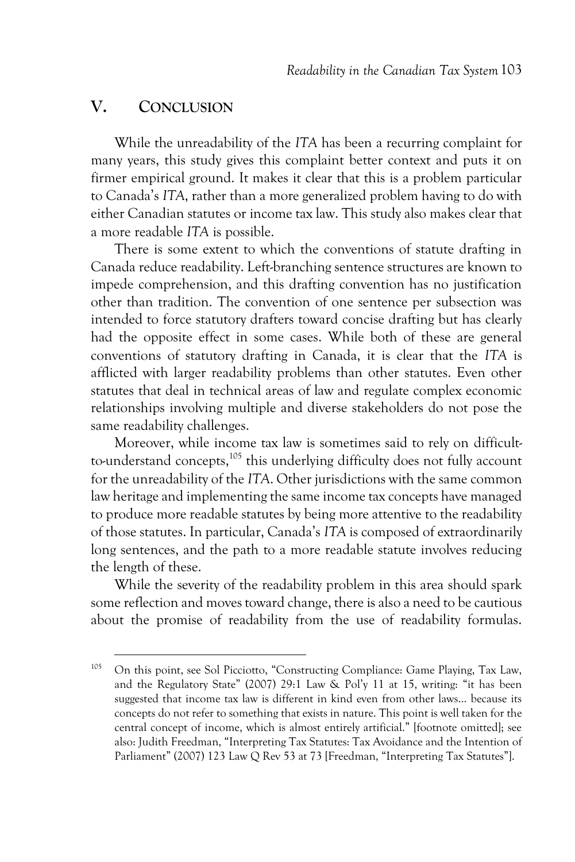### **V. CONCLUSION**

While the unreadability of the *ITA* has been a recurring complaint for many years, this study gives this complaint better context and puts it on firmer empirical ground. It makes it clear that this is a problem particular to Canada's *ITA*, rather than a more generalized problem having to do with either Canadian statutes or income tax law. This study also makes clear that a more readable *ITA* is possible.

There is some extent to which the conventions of statute drafting in Canada reduce readability. Left-branching sentence structures are known to impede comprehension, and this drafting convention has no justification other than tradition. The convention of one sentence per subsection was intended to force statutory drafters toward concise drafting but has clearly had the opposite effect in some cases. While both of these are general conventions of statutory drafting in Canada, it is clear that the *ITA* is afflicted with larger readability problems than other statutes. Even other statutes that deal in technical areas of law and regulate complex economic relationships involving multiple and diverse stakeholders do not pose the same readability challenges.

Moreover, while income tax law is sometimes said to rely on difficultto-understand concepts,<sup>105</sup> this underlying difficulty does not fully account for the unreadability of the *ITA*. Other jurisdictions with the same common law heritage and implementing the same income tax concepts have managed to produce more readable statutes by being more attentive to the readability of those statutes. In particular, Canada's *ITA* is composed of extraordinarily long sentences, and the path to a more readable statute involves reducing the length of these.

While the severity of the readability problem in this area should spark some reflection and moves toward change, there is also a need to be cautious about the promise of readability from the use of readability formulas.

<sup>105</sup> On this point, see Sol Picciotto, "Constructing Compliance: Game Playing, Tax Law, and the Regulatory State" (2007) 29:1 Law & Pol'y 11 at 15, writing: "it has been suggested that income tax law is different in kind even from other laws... because its concepts do not refer to something that exists in nature. This point is well taken for the central concept of income, which is almost entirely artificial." [footnote omitted]; see also: Judith Freedman, "Interpreting Tax Statutes: Tax Avoidance and the Intention of Parliament" (2007) 123 Law Q Rev 53 at 73 [Freedman, "Interpreting Tax Statutes"].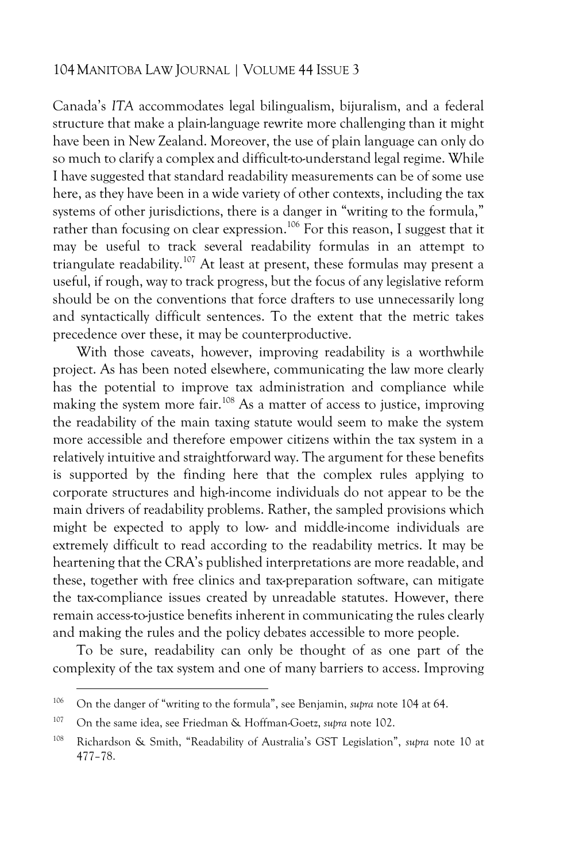Canada's *ITA* accommodates legal bilingualism, bijuralism, and a federal structure that make a plain-language rewrite more challenging than it might have been in New Zealand. Moreover, the use of plain language can only do so much to clarify a complex and difficult-to-understand legal regime. While I have suggested that standard readability measurements can be of some use here, as they have been in a wide variety of other contexts, including the tax systems of other jurisdictions, there is a danger in "writing to the formula," rather than focusing on clear expression.<sup>106</sup> For this reason, I suggest that it may be useful to track several readability formulas in an attempt to triangulate readability.<sup>107</sup> At least at present, these formulas may present a useful, if rough, way to track progress, but the focus of any legislative reform should be on the conventions that force drafters to use unnecessarily long and syntactically difficult sentences. To the extent that the metric takes precedence over these, it may be counterproductive.

With those caveats, however, improving readability is a worthwhile project. As has been noted elsewhere, communicating the law more clearly has the potential to improve tax administration and compliance while making the system more fair.<sup>108</sup> As a matter of access to justice, improving the readability of the main taxing statute would seem to make the system more accessible and therefore empower citizens within the tax system in a relatively intuitive and straightforward way. The argument for these benefits is supported by the finding here that the complex rules applying to corporate structures and high-income individuals do not appear to be the main drivers of readability problems. Rather, the sampled provisions which might be expected to apply to low- and middle-income individuals are extremely difficult to read according to the readability metrics. It may be heartening that the CRA's published interpretations are more readable, and these, together with free clinics and tax-preparation software, can mitigate the tax-compliance issues created by unreadable statutes. However, there remain access-to-justice benefits inherent in communicating the rules clearly and making the rules and the policy debates accessible to more people.

To be sure, readability can only be thought of as one part of the complexity of the tax system and one of many barriers to access. Improving

<sup>106</sup> On the danger of "writing to the formula", see Benjamin, *supra* not[e 104](#page-39-0) at 64.

<sup>107</sup> On the same idea, see Friedman & Hoffman-Goetz, *supra* not[e 102.](#page-38-0)

<sup>108</sup> Richardson & Smith, "Readability of Australia's GST Legislation", *supra* note 10 at 477–78.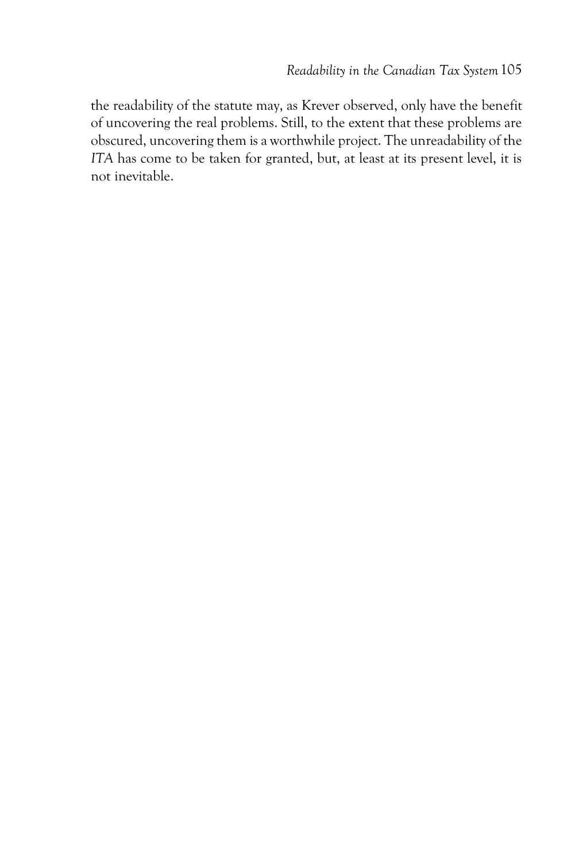the readability of the statute may, as Krever observed, only have the benefit of uncovering the real problems. Still, to the extent that these problems are obscured, uncovering them is a worthwhile project. The unreadability of the *ITA* has come to be taken for granted, but, at least at its present level, it is not inevitable.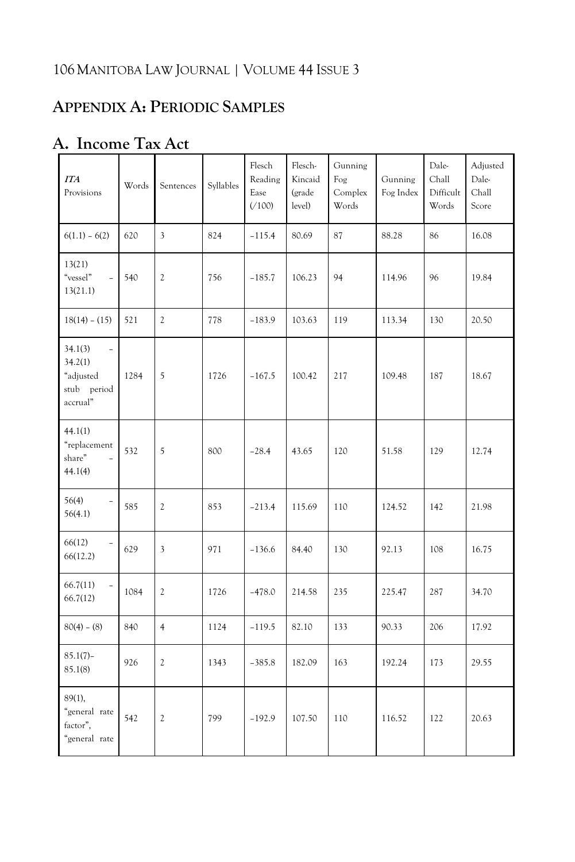# **APPENDIX A: PERIODIC SAMPLES**

| <b>ITA</b><br>Provisions                                                               | Words | Sentences               | Syllables | Flesch<br>Reading<br>Ease<br>(100) | Flesch-<br>Kincaid<br>(grade<br>level) | Gunning<br>Fog<br>Complex<br>Words | Gunning<br>Fog Index | Dale-<br>Chall<br>Difficult<br>Words | Adjusted<br>Dale-<br>Chall<br>Score |
|----------------------------------------------------------------------------------------|-------|-------------------------|-----------|------------------------------------|----------------------------------------|------------------------------------|----------------------|--------------------------------------|-------------------------------------|
| $6(1.1) - 6(2)$                                                                        | 620   | 3                       | 824       | $-115.4$                           | 80.69                                  | 87                                 | 88.28                | 86                                   | 16.08                               |
| 13(21)<br>"vessel"<br>$\overline{\phantom{0}}$<br>13(21.1)                             | 540   | $\mathfrak{2}$          | 756       | $-185.7$                           | 106.23                                 | 94                                 | 114.96               | 96                                   | 19.84                               |
| $18(14) - (15)$                                                                        | 521   | $\mathfrak{2}$          | 778       | $-183.9$                           | 103.63                                 | 119                                | 113.34               | 130                                  | 20.50                               |
| 34.1(3)<br>$\overline{\phantom{a}}$<br>34.2(1)<br>"adjusted<br>stub period<br>accrual" | 1284  | 5                       | 1726      | $-167.5$                           | 100.42                                 | 217                                | 109.48               | 187                                  | 18.67                               |
| 44.1(1)<br>"replacement<br>share"<br>44.1(4)                                           | 532   | 5                       | 800       | $-28.4$                            | 43.65                                  | 120                                | 51.58                | 129                                  | 12.74                               |
| 56(4)<br>$\overline{a}$<br>56(4.1)                                                     | 585   | $\mathfrak{2}$          | 853       | $-213.4$                           | 115.69                                 | 110                                | 124.52               | 142                                  | 21.98                               |
| 66(12)<br>66(12.2)                                                                     | 629   | $\overline{\mathbf{3}}$ | 971       | $-136.6$                           | 84.40                                  | 130                                | 92.13                | 108                                  | 16.75                               |
| 66.7(11)<br>$\qquad \qquad -$<br>66.7(12)                                              | 1084  | $\mathfrak{2}$          | 1726      | $-478.0$                           | 214.58                                 | 235                                | 225.47               | 287                                  | 34.70                               |
| $80(4) - (8)$                                                                          | 840   | $\overline{4}$          | 1124      | $-119.5$                           | 82.10                                  | 133                                | 90.33                | 206                                  | 17.92                               |
| $85.1(7) -$<br>85.1(8)                                                                 | 926   | $\mathfrak{2}$          | 1343      | $-385.8$                           | 182.09                                 | 163                                | 192.24               | 173                                  | 29.55                               |
| 89(1),<br>"general rate<br>factor",<br>"general rate                                   | 542   | $\sqrt{2}$              | 799       | $-192.9$                           | 107.50                                 | 110                                | 116.52               | 122                                  | 20.63                               |

### **A. Income Tax Act**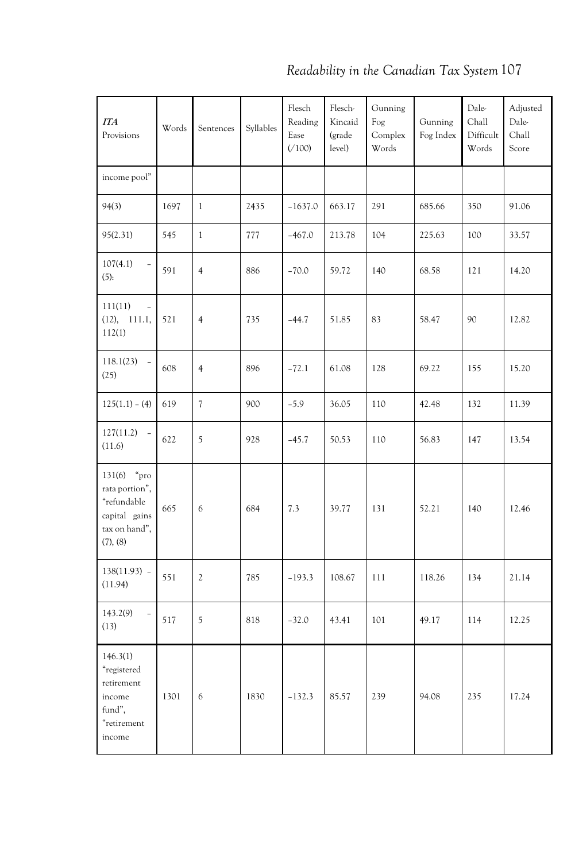| <b>ITA</b><br>Provisions                                        | Words | Sentences                | Syllables | Flesch<br>Reading<br>Ease<br>(100) | Flesch-<br>Kincaid<br>(grade<br>level) | Gunning<br>Fog<br>Complex<br>Words | Gunning<br>Fog Index | Dale-<br>Chall<br>Difficult<br>Words | Adjusted<br>Dale-<br>Chall<br>Score |
|-----------------------------------------------------------------|-------|--------------------------|-----------|------------------------------------|----------------------------------------|------------------------------------|----------------------|--------------------------------------|-------------------------------------|
| income pool"                                                    |       |                          |           |                                    |                                        |                                    |                      |                                      |                                     |
| 94(3)                                                           | 1697  | $\mathbf{1}$             | 2435      | $-1637.0$                          | 663.17                                 | 291                                | 685.66               | 350                                  | 91.06                               |
| 95(2.31)                                                        | 545   | $\mathbf{1}$             | 777       | $-467.0$                           | 213.78                                 | 104                                | 225.63               | 100                                  | 33.57                               |
| 107(4.1)<br>(5):                                                | 591   | $\overline{4}$           | 886       | $-70.0$                            | 59.72                                  | 140                                | 68.58                | 121                                  | 14.20                               |
| 111(11)<br>(12),<br>111.1,<br>112(1)                            | 521   | $\overline{4}$           | 735       | $-44.7$                            | 51.85                                  | 83                                 | 58.47                | 90                                   | 12.82                               |
| 118.1(23)<br>$\overline{\phantom{a}}$<br>(25)                   | 608   | $\overline{4}$           | 896       | $-72.1$                            | 61.08                                  | 128                                | 69.22                | 155                                  | 15.20                               |
| $125(1.1) - (4)$                                                | 619   | $\overline{\mathcal{L}}$ | 900       | $-5.9$                             | 36.05                                  | 110                                | 42.48                | 132                                  | 11.39                               |
| 127(11.2)<br>$\overline{\phantom{a}}$<br>(11.6)                 | 622   | 5                        | 928       | $-45.7$                            | 50.53                                  | 110                                | 56.83                | 147                                  | 13.54                               |
| $131(6)$ "pro<br>rata portion",<br>"refundable<br>capital gains | 665   | 6                        | 684       | 7.3                                | 39.77                                  | 131                                | 52.21                | 140                                  | 12.46                               |

 $(11.94)$   $\begin{bmatrix} 551 \end{bmatrix}$   $\begin{bmatrix} 2 \end{bmatrix}$   $\begin{bmatrix} 785 \end{bmatrix}$   $\begin{bmatrix} -193.3 \end{bmatrix}$   $\begin{bmatrix} 108.67 \end{bmatrix}$   $\begin{bmatrix} 111 \end{bmatrix}$   $\begin{bmatrix} 118.26 \end{bmatrix}$   $\begin{bmatrix} 134 \end{bmatrix}$   $\begin{bmatrix} 21.14 \end{bmatrix}$ 

(13) <sup>517</sup> <sup>5</sup> <sup>818</sup> –32.0 43.41 <sup>101</sup> 49.17 <sup>114</sup> 12.25

1301 6 1830 –132.3 85.57 239 94.08 235 17.24

tax on hand", (7), (8)

138(11.93) –

 $143.2(9)$  –

146.3(1) "registered retirement income fund", "retirement income

*Readability in the Canadian Tax System*107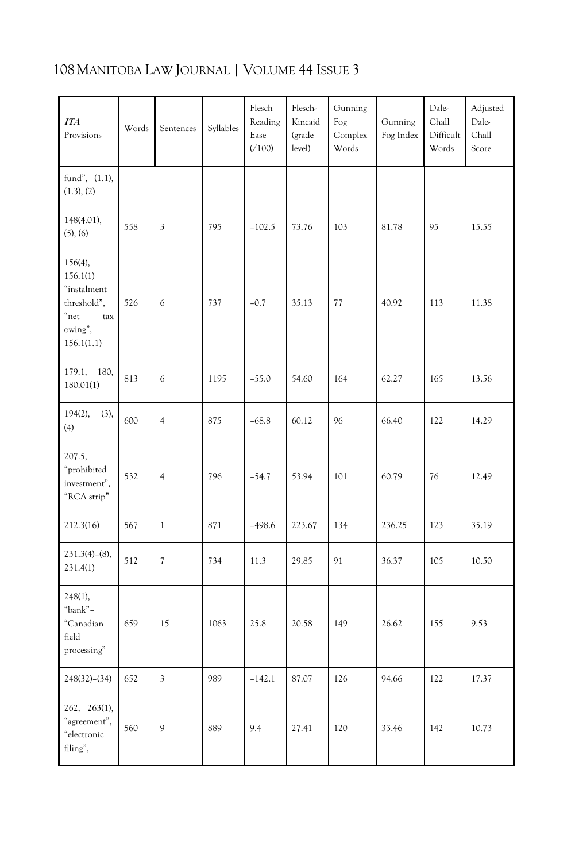| <b>ITA</b><br>Provisions                                                                        | Words | Sentences                | Syllables | Flesch<br>Reading<br>Ease<br>(100) | Flesch-<br>Kincaid<br>(grade<br>level) | Gunning<br>Fog<br>Complex<br>Words | Gunning<br>Fog Index | Dale-<br>Chall<br>Difficult<br>Words | Adjusted<br>Dale-<br>Chall<br>Score |
|-------------------------------------------------------------------------------------------------|-------|--------------------------|-----------|------------------------------------|----------------------------------------|------------------------------------|----------------------|--------------------------------------|-------------------------------------|
| fund", $(1.1)$ ,<br>(1.3), (2)                                                                  |       |                          |           |                                    |                                        |                                    |                      |                                      |                                     |
| 148(4.01),<br>(5), (6)                                                                          | 558   | 3                        | 795       | $-102.5$                           | 73.76                                  | 103                                | 81.78                | 95                                   | 15.55                               |
| $156(4)$ ,<br>156.1(1)<br>"instalment<br>threshold",<br>$"$ net<br>tax<br>owing",<br>156.1(1.1) | 526   | 6                        | 737       | $-0.7$                             | 35.13                                  | 77                                 | 40.92                | 113                                  | 11.38                               |
| 179.1,<br>180,<br>180.01(1)                                                                     | 813   | 6                        | 1195      | $-55.0$                            | 54.60                                  | 164                                | 62.27                | 165                                  | 13.56                               |
| $194(2)$ ,<br>(3),<br>(4)                                                                       | 600   | $\overline{4}$           | 875       | $-68.8$                            | 60.12                                  | 96                                 | 66.40                | 122                                  | 14.29                               |
| 207.5,<br>"prohibited<br>investment",<br>"RCA strip"                                            | 532   | $\overline{4}$           | 796       | $-54.7$                            | 53.94                                  | 101                                | 60.79                | 76                                   | 12.49                               |
| 212.3(16)                                                                                       | 567   | $\mathbf{1}$             | 871       | $-498.6$                           | 223.67                                 | 134                                | 236.25               | 123                                  | 35.19                               |
| $231.3(4)-(8)$ ,<br>231.4(1)                                                                    | 512   | $\overline{\mathcal{U}}$ | 734       | 11.3                               | 29.85                                  | 91                                 | 36.37                | 105                                  | 10.50                               |
| $248(1)$ ,<br>"bank"-<br>"Canadian<br>field<br>processing"                                      | 659   | 15                       | 1063      | 25.8                               | 20.58                                  | 149                                | 26.62                | 155                                  | 9.53                                |
| $248(32)-(34)$                                                                                  | 652   | $\overline{3}$           | 989       | $-142.1$                           | 87.07                                  | 126                                | 94.66                | 122                                  | 17.37                               |
| 262, 263(1),<br>"agreement",<br>"electronic<br>filing",                                         | 560   | 9                        | 889       | 9.4                                | 27.41                                  | 120                                | 33.46                | 142                                  | 10.73                               |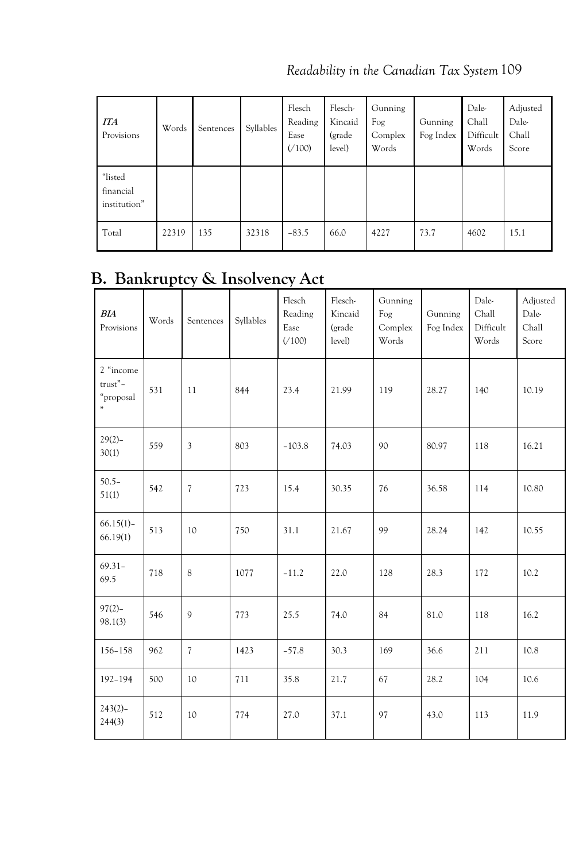*Readability in the Canadian Tax System*109

| <b>ITA</b><br>Provisions             | Words | Sentences | Syllables | Flesch<br>Reading<br>Ease<br>(100) | Flesch-<br>Kincaid<br>(grade<br>level) | Gunning<br>Fog<br>Complex<br>Words | Gunning<br>Fog Index | Dale-<br>Chall<br>Difficult<br>Words | Adjusted<br>Dale-<br>Chall<br>Score |
|--------------------------------------|-------|-----------|-----------|------------------------------------|----------------------------------------|------------------------------------|----------------------|--------------------------------------|-------------------------------------|
| "listed<br>financial<br>institution" |       |           |           |                                    |                                        |                                    |                      |                                      |                                     |
| Total                                | 22319 | 135       | 32318     | $-83.5$                            | 66.0                                   | 4227                               | 73.7                 | 4602                                 | 15.1                                |

# **B. Bankruptcy & Insolvency Act**

| BIA<br>Provisions                      | Words | Sentences                | Syllables | Flesch<br>Reading<br>Ease<br>( / 100) | Flesch-<br>Kincaid<br>(grade<br>level) | Gunning<br>Fog<br>Complex<br>Words | Gunning<br>Fog Index | Dale-<br>Chall<br>Difficult<br>Words | Adjusted<br>Dale-<br>Chall<br>Score |
|----------------------------------------|-------|--------------------------|-----------|---------------------------------------|----------------------------------------|------------------------------------|----------------------|--------------------------------------|-------------------------------------|
| 2 "income<br>trust"-<br>"proposal<br>, | 531   | 11                       | 844       | 23.4                                  | 21.99                                  | 119                                | 28.27                | 140                                  | 10.19                               |
| $29(2) -$<br>30(1)                     | 559   | $\mathfrak{Z}$           | 803       | $-103.8$                              | 74.03                                  | 90                                 | 80.97                | 118                                  | 16.21                               |
| $50.5 -$<br>51(1)                      | 542   | $\overline{7}$           | 723       | 15.4                                  | 30.35                                  | 76                                 | 36.58                | 114                                  | 10.80                               |
| $66.15(1) -$<br>66.19(1)               | 513   | 10                       | 750       | 31.1                                  | 21.67                                  | 99                                 | 28.24                | 142                                  | 10.55                               |
| $69.31 -$<br>69.5                      | 718   | 8                        | 1077      | $-11.2$                               | 22.0                                   | 128                                | 28.3                 | 172                                  | 10.2                                |
| $97(2) -$<br>98.1(3)                   | 546   | 9                        | 773       | 25.5                                  | 74.0                                   | 84                                 | 81.0                 | 118                                  | 16.2                                |
| $156 - 158$                            | 962   | $\overline{\mathcal{L}}$ | 1423      | $-57.8$                               | 30.3                                   | 169                                | 36.6                 | 211                                  | 10.8                                |
| $192 - 194$                            | 500   | 10                       | 711       | 35.8                                  | 21.7                                   | 67                                 | 28.2                 | 104                                  | 10.6                                |
| $243(2) -$<br>244(3)                   | 512   | 10                       | 774       | 27.0                                  | 37.1                                   | 97                                 | 43.0                 | 113                                  | 11.9                                |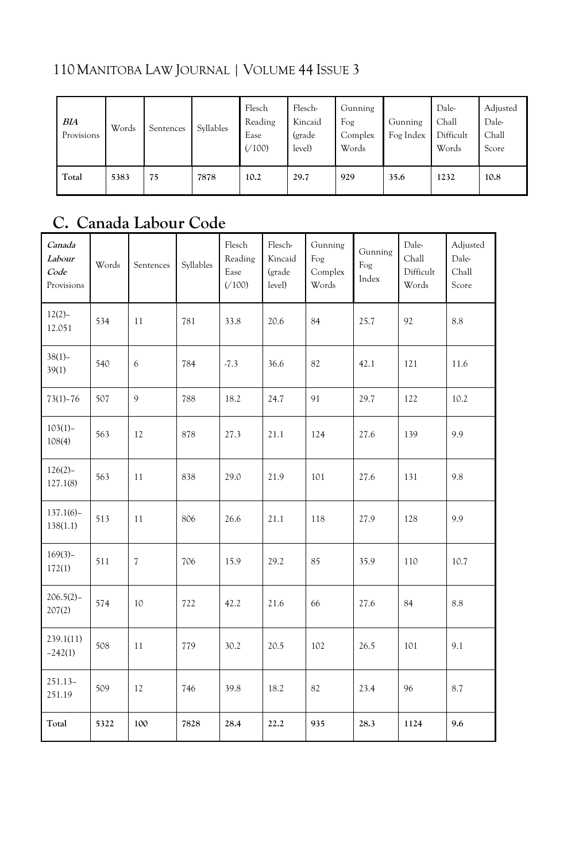| <b>BIA</b><br>Provisions | Words | Sentences | Syllables | Flesch<br>Reading<br>Ease<br>( / 100) | Flesch-<br>Kincaid<br>(grade<br>level) | Gunning<br>Fog<br>Complex<br>Words | Gunning<br>Fog Index | Dale-<br>Chall<br>Difficult<br>Words | Adjusted<br>Dale-<br>Chall<br>Score |
|--------------------------|-------|-----------|-----------|---------------------------------------|----------------------------------------|------------------------------------|----------------------|--------------------------------------|-------------------------------------|
| Total                    | 5383  | 75        | 7878      | 10.2                                  | 29.7                                   | 929                                | 35.6                 | 1232                                 | 10.8                                |

# **C. Canada Labour Code**

| Canada<br>Labour<br>Code<br>Provisions | Words | Sentences                | Syllables | Flesch<br>Reading<br>Ease<br>(100) | Flesch-<br>Kincaid<br>(grade<br>level) | Gunning<br>Fog<br>Complex<br>Words | Gunning<br>Fog<br>Index | Dale-<br>Chall<br>Difficult<br>Words | Adjusted<br>Dale-<br>Chall<br>Score |
|----------------------------------------|-------|--------------------------|-----------|------------------------------------|----------------------------------------|------------------------------------|-------------------------|--------------------------------------|-------------------------------------|
| $12(2) -$<br>12.051                    | 534   | 11                       | 781       | 33.8                               | 20.6                                   | 84                                 | 25.7                    | 92                                   | 8.8                                 |
| $38(1) -$<br>39(1)                     | 540   | 6                        | 784       | $-7.3$                             | 36.6                                   | 82                                 | 42.1                    | 121                                  | 11.6                                |
| $73(1) - 76$                           | 507   | $\mathbf{Q}$             | 788       | 18.2                               | 24.7                                   | 91                                 | 29.7                    | 122                                  | 10.2                                |
| $103(1)$ -<br>108(4)                   | 563   | 12                       | 878       | 27.3                               | 21.1                                   | 124                                | 27.6                    | 139                                  | 9.9                                 |
| $126(2)-$<br>127.1(8)                  | 563   | 11                       | 838       | 29.0                               | 21.9                                   | 101                                | 27.6                    | 131                                  | 9.8                                 |
| $137.1(6) -$<br>138(1.1)               | 513   | 11                       | 806       | 26.6                               | 21.1                                   | 118                                | 27.9                    | 128                                  | 9.9                                 |
| $169(3) -$<br>172(1)                   | 511   | $\overline{\mathcal{L}}$ | 706       | 15.9                               | 29.2                                   | 85                                 | 35.9                    | 110                                  | 10.7                                |
| $206.5(2) -$<br>207(2)                 | 574   | 10                       | 722       | 42.2                               | 21.6                                   | 66                                 | 27.6                    | 84                                   | 8.8                                 |
| 239.1(11)<br>$-242(1)$                 | 508   | 11                       | 779       | 30.2                               | 20.5                                   | 102                                | 26.5                    | 101                                  | 9.1                                 |
| $251.13-$<br>251.19                    | 509   | 12                       | 746       | 39.8                               | 18.2                                   | 82                                 | 23.4                    | 96                                   | 8.7                                 |
| Total                                  | 5322  | 100                      | 7828      | 28.4                               | 22.2                                   | 935                                | 28.3                    | 1124                                 | 9.6                                 |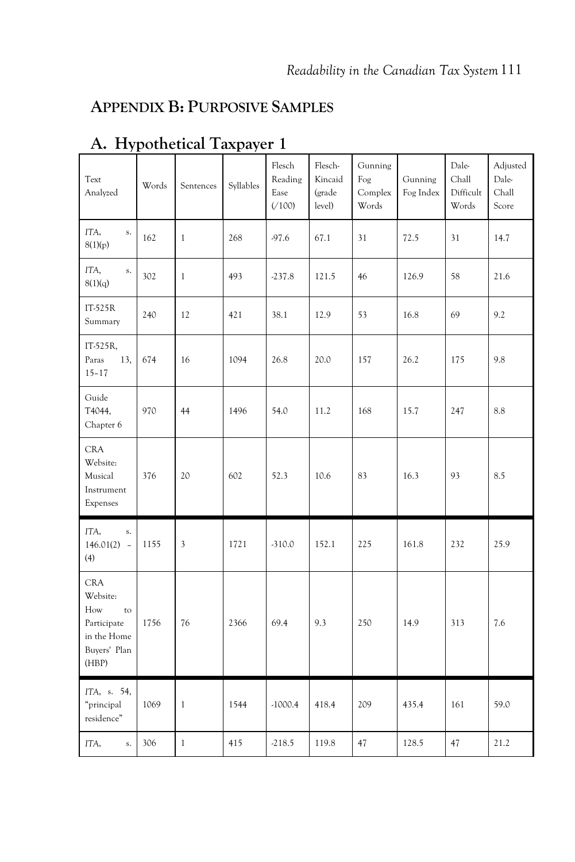### **APPENDIX B: PURPOSIVE SAMPLES**

| Text<br>Analyzed                                                                           | Words | Sentences    | Syllables | Flesch<br>Reading<br>Ease<br>(100) | Flesch-<br>Kincaid<br>(grade<br>level) | Gunning<br>Fog<br>Complex<br>Words | Gunning<br>Fog Index | Dale-<br>Chall<br>Difficult<br>Words | Adjusted<br>Dale-<br>Chall<br>Score |
|--------------------------------------------------------------------------------------------|-------|--------------|-----------|------------------------------------|----------------------------------------|------------------------------------|----------------------|--------------------------------------|-------------------------------------|
| ITA,<br>s.<br>8(1)(p)                                                                      | 162   | $\mathbf{1}$ | 268       | $-97.6$                            | 67.1                                   | 31                                 | 72.5                 | 31                                   | 14.7                                |
| ITA,<br>s.<br>8(1)(q)                                                                      | 302   | $\mathbf{1}$ | 493       | $-237.8$                           | 121.5                                  | 46                                 | 126.9                | 58                                   | 21.6                                |
| IT-525R<br>Summary                                                                         | 240   | 12           | 421       | 38.1                               | 12.9                                   | 53                                 | 16.8                 | 69                                   | 9.2                                 |
| IT-525R,<br>Paras<br>13,<br>$15 - 17$                                                      | 674   | 16           | 1094      | 26.8                               | 20.0                                   | 157                                | 26.2                 | 175                                  | 9.8                                 |
| Guide<br>T4044,<br>Chapter 6                                                               | 970   | 44           | 1496      | 54.0                               | 11.2                                   | 168                                | 15.7                 | 247                                  | 8.8                                 |
| <b>CRA</b><br>Website:<br>Musical<br>Instrument<br>Expenses                                | 376   | 20           | 602       | 52.3                               | 10.6                                   | 83                                 | 16.3                 | 93                                   | 8.5                                 |
| ITA,<br>${\bf S}$ .<br>$146.01(2) -$<br>(4)                                                | 1155  | 3            | 1721      | $-310.0$                           | 152.1                                  | 225                                | 161.8                | 232                                  | 25.9                                |
| <b>CRA</b><br>Website:<br>How<br>to<br>Participate<br>in the Home<br>Buyers' Plan<br>(HBP) | 1756  | 76           | 2366      | 69.4                               | 9.3                                    | 250                                | 14.9                 | 313                                  | 7.6                                 |
| ITA, s. 54,<br>"principal<br>residence"                                                    | 1069  | $\mathbf{1}$ | 1544      | $-1000.4$                          | 418.4                                  | 209                                | 435.4                | 161                                  | 59.0                                |
| ITA,<br>s.                                                                                 | 306   | $\mathbf{1}$ | 415       | $-218.5$                           | 119.8                                  | 47                                 | 128.5                | 47                                   | 21.2                                |

# **A. Hypothetical Taxpayer 1**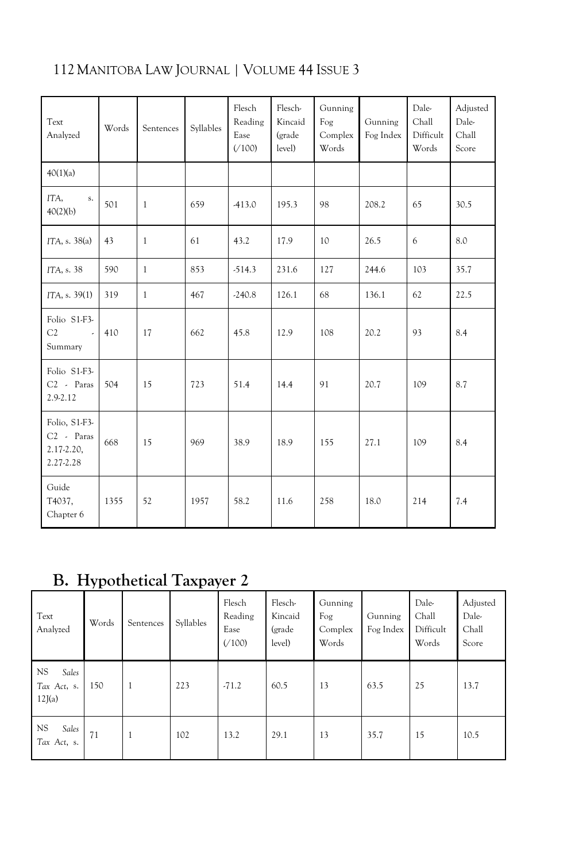| Text<br>Analyzed                                         | Words | Sentences    | Syllables | Flesch<br>Reading<br>Ease<br>( / 100) | Flesch-<br>Kincaid<br>(grade<br>level) | Gunning<br>Fog<br>Complex<br>Words | Gunning<br>Fog Index | Dale-<br>Chall<br>Difficult<br>Words | Adjusted<br>Dale-<br>Chall<br>Score |
|----------------------------------------------------------|-------|--------------|-----------|---------------------------------------|----------------------------------------|------------------------------------|----------------------|--------------------------------------|-------------------------------------|
| 40(1)(a)                                                 |       |              |           |                                       |                                        |                                    |                      |                                      |                                     |
| ITA,<br>s.<br>40(2)(b)                                   | 501   | $\mathbf{1}$ | 659       | $-413.0$                              | 195.3                                  | 98                                 | 208.2                | 65                                   | 30.5                                |
| ITA, s. 38(a)                                            | 43    | $\mathbf{1}$ | 61        | 43.2                                  | 17.9                                   | 10 <sup>2</sup>                    | 26.5                 | 6                                    | 8.0                                 |
| ITA, s. 38                                               | 590   | $\mathbf{1}$ | 853       | $-514.3$                              | 231.6                                  | 127                                | 244.6                | 103                                  | 35.7                                |
| ITA, s. 39(1)                                            | 319   | $\mathbf{1}$ | 467       | $-240.8$                              | 126.1                                  | 68                                 | 136.1                | 62                                   | 22.5                                |
| Folio S1-F3-<br>C2<br>$\sim$<br>Summary                  | 410   | 17           | 662       | 45.8                                  | 12.9                                   | 108                                | 20.2                 | 93                                   | 8.4                                 |
| Folio S1-F3-<br>$C2$ - Paras<br>2.9-2.12                 | 504   | 15           | 723       | 51.4                                  | 14.4                                   | 91                                 | 20.7                 | 109                                  | 8.7                                 |
| Folio, S1-F3-<br>$C2$ - Paras<br>2.17-2.20,<br>2.27-2.28 | 668   | 15           | 969       | 38.9                                  | 18.9                                   | 155                                | 27.1                 | 109                                  | 8.4                                 |
| Guide<br>T4037,<br>Chapter 6                             | 1355  | 52           | 1957      | 58.2                                  | 11.6                                   | 258                                | 18.0                 | 214                                  | 7.4                                 |

**B. Hypothetical Taxpayer 2**

| Text<br>Analyzed                            | Words | Sentences    | Syllables | Flesch<br>Reading<br>Ease<br>(100) | Flesch-<br>Kincaid<br>(grade<br>level) | Gunning<br>Fog<br>Complex<br>Words | Gunning<br>Fog Index | Dale-<br>Chall<br>Difficult<br>Words | Adjusted<br>Dale-<br>Chall<br>Score |
|---------------------------------------------|-------|--------------|-----------|------------------------------------|----------------------------------------|------------------------------------|----------------------|--------------------------------------|-------------------------------------|
| <b>NS</b><br>Sales<br>Tax Act, s.<br>12J(a) | 150   | $\mathbf{1}$ | 223       | $-71.2$                            | 60.5                                   | 13                                 | 63.5                 | 25                                   | 13.7                                |
| <b>NS</b><br>Sales<br>Tax Act, s.           | 71    |              | 102       | 13.2                               | 29.1                                   | 13                                 | 35.7                 | 15                                   | 10.5                                |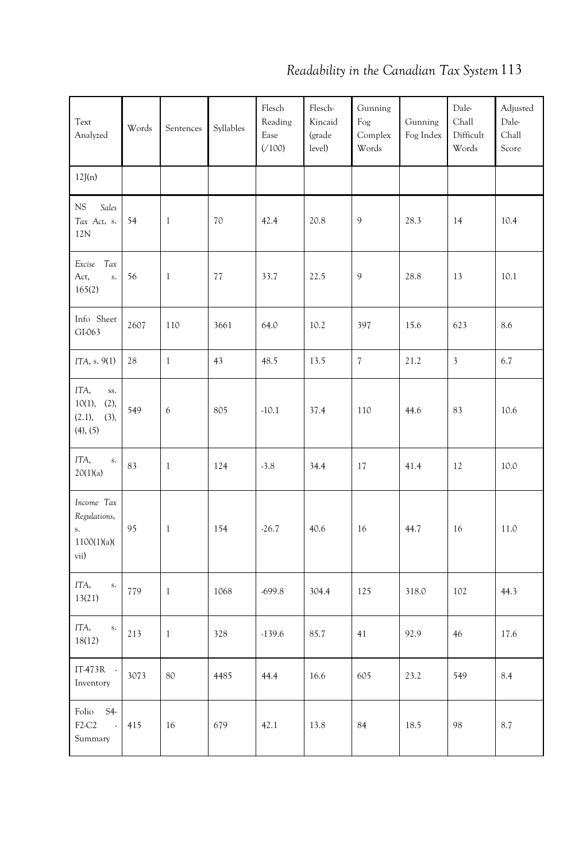| Text<br>Analyzed                                         | Words | Sentences    | Syllables | Flesch<br>Reading<br>Ease<br>(100) | Flesch-<br>Kincaid<br>(grade<br>level) | Gunning<br>Fog<br>Complex<br>Words | Gunning<br>Fog Index | Dale-<br>Chall<br>Difficult<br>Words | Adjusted<br>Dale-<br>Chall<br>Score |
|----------------------------------------------------------|-------|--------------|-----------|------------------------------------|----------------------------------------|------------------------------------|----------------------|--------------------------------------|-------------------------------------|
| 12J(n)                                                   |       |              |           |                                    |                                        |                                    |                      |                                      |                                     |
| NS<br>Sales<br>Tax Act, s.<br>12N                        | 54    | $\mathbf{1}$ | 70        | 42.4                               | 20.8                                   | 9                                  | 28.3                 | 14                                   | 10.4                                |
| Excise Tax<br>Act,<br>$S_{\star}$<br>165(2)              | 56    | 1            | 77        | 33.7                               | 22.5                                   | 9                                  | 28.8                 | 13                                   | 10.1                                |
| Info Sheet<br>GI-063                                     | 2607  | 110          | 3661      | 64.0                               | 10.2                                   | 397                                | 15.6                 | 623                                  | 8.6                                 |
| ITA, s. 9(1)                                             | 28    | $\mathbf{1}$ | 43        | 48.5                               | 13.5                                   | $\overline{7}$                     | 21.2                 | $\overline{\mathbf{3}}$              | 6.7                                 |
| ITA,<br>SS.<br>10(1), (2),<br>(2.1),<br>(3),<br>(4), (5) | 549   | 6            | 805       | $-10.1$                            | 37.4                                   | 110                                | 44.6                 | 83                                   | 10.6                                |
| ITA,<br>${\bf S}$ .<br>20(1)(a)                          | 83    | $\mathbf{1}$ | 124       | $-3.8$                             | 34.4                                   | 17                                 | 41.4                 | 12                                   | 10.0                                |
| Income Tax<br>Regulations,<br>s.<br>1100(1)(a)<br>vii)   | 95    | 1            | 154       | $-26.7$                            | 40.6                                   | 16                                 | 44.7                 | 16                                   | 11.0                                |
| ITA,<br>$\mathbf S.$<br>13(21)                           | 779   | $\mathbf{1}$ | 1068      | $-699.8$                           | 304.4                                  | 125                                | 318.0                | 102                                  | 44.3                                |
| ITA,<br>$\mathbf{S}_{\star}$<br>18(12)                   | 213   | $\mathbf{1}$ | 328       | $-139.6$                           | 85.7                                   | 41                                 | 92.9                 | 46                                   | 17.6                                |
| IT473R -<br>Inventory                                    | 3073  | 80           | 4485      | 44.4                               | 16.6                                   | 605                                | 23.2                 | 549                                  | 8.4                                 |
| Folio<br>S4<br>F2-C2<br>$\bar{\mathcal{L}}$<br>Summary   | 415   | 16           | 679       | 42.1                               | 13.8                                   | 84                                 | 18.5                 | 98                                   | 8.7                                 |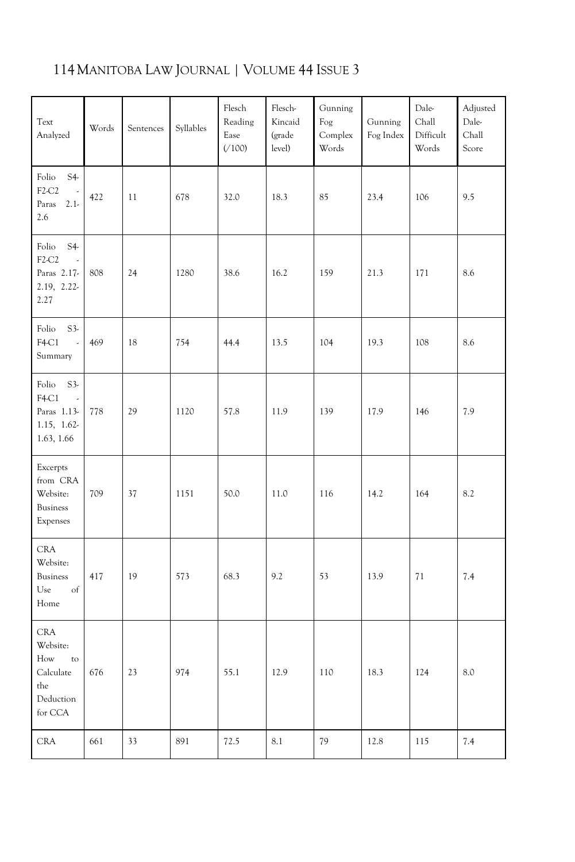| Text<br>Analyzed                                                                | Words | Sentences | Syllables | Flesch<br>Reading<br>Ease<br>(100) | Flesch-<br>Kincaid<br>(grade<br>level) | Gunning<br>Fog<br>Complex<br>Words | Gunning<br>Fog Index | Dale-<br>Chall<br>Difficult<br>Words | Adjusted<br>Dale-<br>Chall<br>Score |
|---------------------------------------------------------------------------------|-------|-----------|-----------|------------------------------------|----------------------------------------|------------------------------------|----------------------|--------------------------------------|-------------------------------------|
| Folio<br>$S4-$<br>F2-C2<br>$2.1-$<br>Paras<br>2.6                               | 422   | 11        | 678       | 32.0                               | 18.3                                   | 85                                 | 23.4                 | 106                                  | 9.5                                 |
| $S4-$<br>Folio<br>F2-C2<br>ä,<br>Paras 2.17-<br>2.19, 2.22-<br>2.27             | 808   | 24        | 1280      | 38.6                               | 16.2                                   | 159                                | 21.3                 | 171                                  | 8.6                                 |
| Folio<br>$S3-$<br>F4-C1<br>$\overline{\phantom{a}}$<br>Summary                  | 469   | 18        | 754       | 44.4                               | 13.5                                   | 104                                | 19.3                 | 108                                  | 8.6                                 |
| Folio<br>$S3-$<br>F4-C1<br>Paras 1.13-<br>1.15, 1.62-<br>1.63, 1.66             | 778   | 29        | 1120      | 57.8                               | 11.9                                   | 139                                | 17.9                 | 146                                  | 7.9                                 |
| Excerpts<br>from CRA<br>Website:<br><b>Business</b><br>Expenses                 | 709   | 37        | 1151      | 50.0                               | 11.0                                   | 116                                | 14.2                 | 164                                  | 8.2                                 |
| <b>CRA</b><br>Website:<br><b>Business</b><br>Use<br>of<br>Home                  | 417   | 19        | 573       | 68.3                               | 9.2                                    | 53                                 | 13.9                 | $7\sqrt{1}$                          | 7.4                                 |
| <b>CRA</b><br>Website:<br>How<br>to<br>Calculate<br>the<br>Deduction<br>for CCA | 676   | 23        | 974       | 55.1                               | 12.9                                   | 110                                | 18.3                 | 124                                  | 8.0                                 |
| <b>CRA</b>                                                                      | 661   | 33        | 891       | 72.5                               | 8.1                                    | 79                                 | 12.8                 | 115                                  | 7.4                                 |